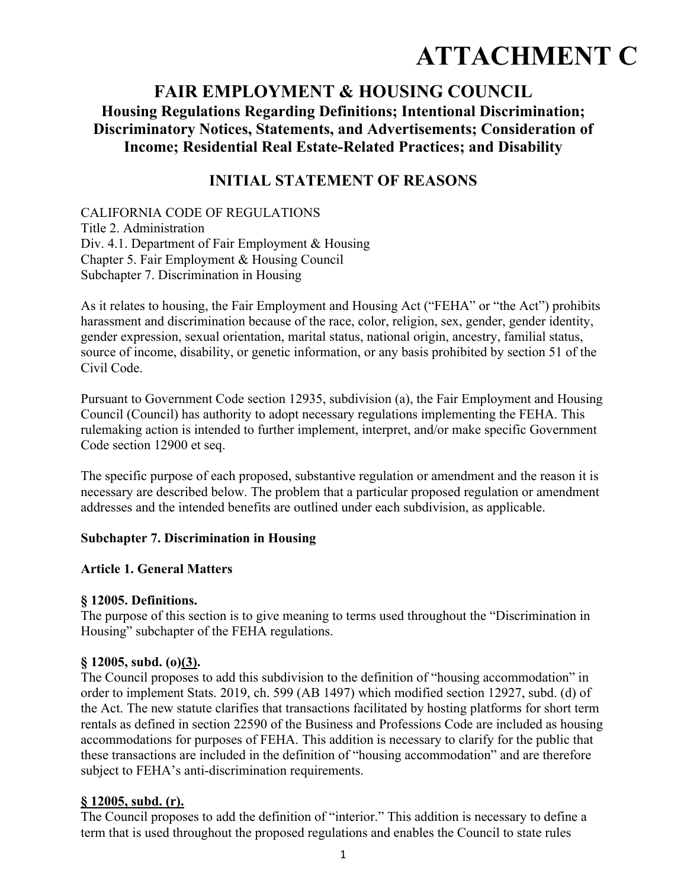# **ATTACHMENT C**

# **FAIR EMPLOYMENT & HOUSING COUNCIL Housing Regulations Regarding Definitions; Intentional Discrimination; Discriminatory Notices, Statements, and Advertisements; Consideration of Income; Residential Real Estate-Related Practices; and Disability**

## **INITIAL STATEMENT OF REASONS**

CALIFORNIA CODE OF REGULATIONS Title 2. Administration Div. 4.1. Department of Fair Employment & Housing Chapter 5. Fair Employment & Housing Council Subchapter 7. Discrimination in Housing

As it relates to housing, the Fair Employment and Housing Act ("FEHA" or "the Act") prohibits harassment and discrimination because of the race, color, religion, sex, gender, gender identity, gender expression, sexual orientation, marital status, national origin, ancestry, familial status, source of income, disability, or genetic information, or any basis prohibited by section 51 of the Civil Code.

Pursuant to Government Code section 12935, subdivision (a), the Fair Employment and Housing Council (Council) has authority to adopt necessary regulations implementing the FEHA. This rulemaking action is intended to further implement, interpret, and/or make specific Government Code section 12900 et seq.

The specific purpose of each proposed, substantive regulation or amendment and the reason it is necessary are described below. The problem that a particular proposed regulation or amendment addresses and the intended benefits are outlined under each subdivision, as applicable.

## **Subchapter 7. Discrimination in Housing**

#### **Article 1. General Matters**

## **§ 12005. Definitions.**

The purpose of this section is to give meaning to terms used throughout the "Discrimination in Housing" subchapter of the FEHA regulations.

#### **§ 12005, subd. (o)(3).**

The Council proposes to add this subdivision to the definition of "housing accommodation" in order to implement Stats. 2019, ch. 599 (AB 1497) which modified section 12927, subd. (d) of the Act. The new statute clarifies that transactions facilitated by hosting platforms for short term rentals as defined in section 22590 of the Business and Professions Code are included as housing accommodations for purposes of FEHA. This addition is necessary to clarify for the public that these transactions are included in the definition of "housing accommodation" and are therefore subject to FEHA's anti-discrimination requirements.

## **§ 12005, subd. (r).**

The Council proposes to add the definition of "interior." This addition is necessary to define a term that is used throughout the proposed regulations and enables the Council to state rules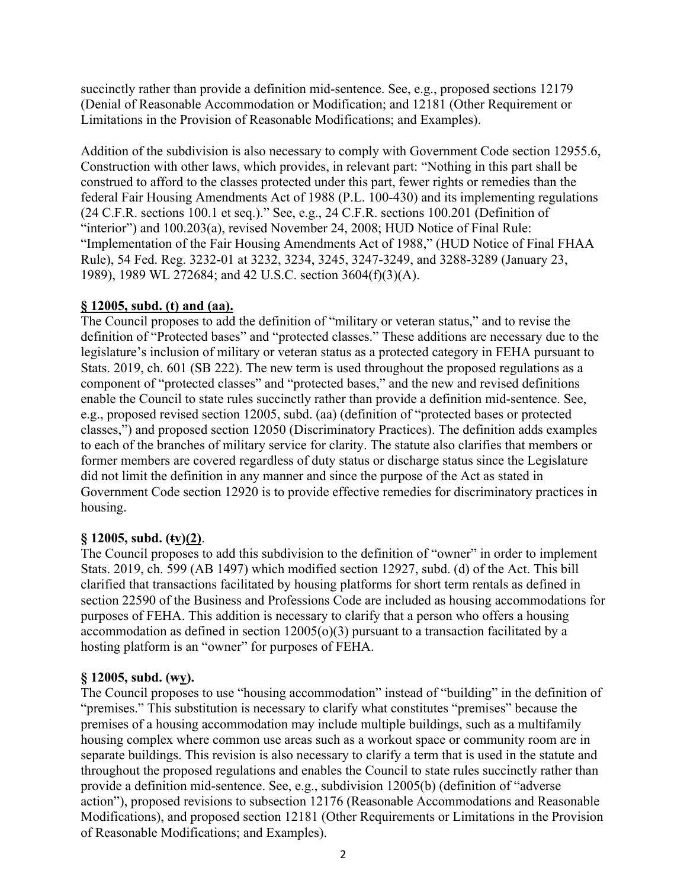succinctly rather than provide a definition mid-sentence. See, e.g., proposed sections 12179 (Denial of Reasonable Accommodation or Modification; and 12181 (Other Requirement or Limitations in the Provision of Reasonable Modifications; and Examples).

Addition of the subdivision is also necessary to comply with Government Code section 12955.6, Construction with other laws, which provides, in relevant part: "Nothing in this part shall be construed to afford to the classes protected under this part, fewer rights or remedies than the federal Fair Housing Amendments Act of 1988 (P.L. 100-430) and its implementing regulations (24 C.F.R. sections 100.1 et seq.)." See, e.g., 24 C.F.R. sections 100.201 (Definition of "interior") and 100.203(a), revised November 24, 2008; HUD Notice of Final Rule: "Implementation of the Fair Housing Amendments Act of 1988," (HUD Notice of Final FHAA Rule), 54 Fed. Reg. 3232-01 at 3232, 3234, 3245, 3247-3249, and 3288-3289 (January 23, 1989), 1989 WL 272684; and 42 U.S.C. section 3604(f)(3)(A).

## **§ 12005, subd. (t) and (aa).**

The Council proposes to add the definition of "military or veteran status," and to revise the definition of "Protected bases" and "protected classes." These additions are necessary due to the legislature's inclusion of military or veteran status as a protected category in FEHA pursuant to Stats. 2019, ch. 601 (SB 222). The new term is used throughout the proposed regulations as a component of "protected classes" and "protected bases," and the new and revised definitions enable the Council to state rules succinctly rather than provide a definition mid-sentence. See, e.g., proposed revised section 12005, subd. (aa) (definition of "protected bases or protected classes,") and proposed section 12050 (Discriminatory Practices). The definition adds examples to each of the branches of military service for clarity. The statute also clarifies that members or former members are covered regardless of duty status or discharge status since the Legislature did not limit the definition in any manner and since the purpose of the Act as stated in Government Code section 12920 is to provide effective remedies for discriminatory practices in housing.

## **§ 12005, subd. (tv)(2)**.

The Council proposes to add this subdivision to the definition of "owner" in order to implement Stats. 2019, ch. 599 (AB 1497) which modified section 12927, subd. (d) of the Act. This bill clarified that transactions facilitated by housing platforms for short term rentals as defined in section 22590 of the Business and Professions Code are included as housing accommodations for purposes of FEHA. This addition is necessary to clarify that a person who offers a housing accommodation as defined in section  $12005(o)(3)$  pursuant to a transaction facilitated by a hosting platform is an "owner" for purposes of FEHA.

## **§ 12005, subd. (wy).**

The Council proposes to use "housing accommodation" instead of "building" in the definition of "premises." This substitution is necessary to clarify what constitutes "premises" because the premises of a housing accommodation may include multiple buildings, such as a multifamily housing complex where common use areas such as a workout space or community room are in separate buildings. This revision is also necessary to clarify a term that is used in the statute and throughout the proposed regulations and enables the Council to state rules succinctly rather than provide a definition mid-sentence. See, e.g., subdivision 12005(b) (definition of "adverse action"), proposed revisions to subsection 12176 (Reasonable Accommodations and Reasonable Modifications), and proposed section 12181 (Other Requirements or Limitations in the Provision of Reasonable Modifications; and Examples).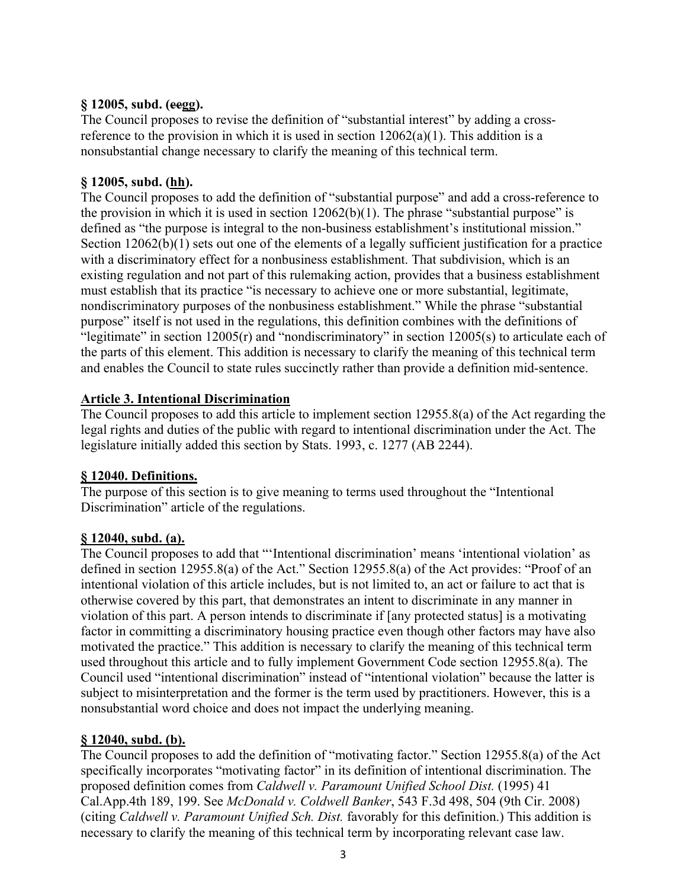## **§ 12005, subd. (eegg).**

The Council proposes to revise the definition of "substantial interest" by adding a crossreference to the provision in which it is used in section  $12062(a)(1)$ . This addition is a nonsubstantial change necessary to clarify the meaning of this technical term.

#### **§ 12005, subd. (hh).**

The Council proposes to add the definition of "substantial purpose" and add a cross-reference to the provision in which it is used in section  $12062(b)(1)$ . The phrase "substantial purpose" is defined as "the purpose is integral to the non-business establishment's institutional mission." Section 12062(b)(1) sets out one of the elements of a legally sufficient justification for a practice with a discriminatory effect for a nonbusiness establishment. That subdivision, which is an existing regulation and not part of this rulemaking action, provides that a business establishment must establish that its practice "is necessary to achieve one or more substantial, legitimate, nondiscriminatory purposes of the nonbusiness establishment." While the phrase "substantial purpose" itself is not used in the regulations, this definition combines with the definitions of "legitimate" in section  $12005(r)$  and "nondiscriminatory" in section  $12005(s)$  to articulate each of the parts of this element. This addition is necessary to clarify the meaning of this technical term and enables the Council to state rules succinctly rather than provide a definition mid-sentence.

#### **Article 3. Intentional Discrimination**

The Council proposes to add this article to implement section 12955.8(a) of the Act regarding the legal rights and duties of the public with regard to intentional discrimination under the Act. The legislature initially added this section by Stats. 1993, c. 1277 (AB 2244).

#### **§ 12040. Definitions.**

The purpose of this section is to give meaning to terms used throughout the "Intentional Discrimination" article of the regulations.

# **§ 12040, subd. (a).**

The Council proposes to add that "'Intentional discrimination' means 'intentional violation' as defined in section 12955.8(a) of the Act." Section 12955.8(a) of the Act provides: "Proof of an intentional violation of this article includes, but is not limited to, an act or failure to act that is otherwise covered by this part, that demonstrates an intent to discriminate in any manner in violation of this part. A person intends to discriminate if [any protected status] is a motivating factor in committing a discriminatory housing practice even though other factors may have also motivated the practice." This addition is necessary to clarify the meaning of this technical term used throughout this article and to fully implement Government Code section 12955.8(a). The Council used "intentional discrimination" instead of "intentional violation" because the latter is subject to misinterpretation and the former is the term used by practitioners. However, this is a nonsubstantial word choice and does not impact the underlying meaning.

## **§ 12040, subd. (b).**

The Council proposes to add the definition of "motivating factor." Section 12955.8(a) of the Act specifically incorporates "motivating factor" in its definition of intentional discrimination. The proposed definition comes from *Caldwell v. Paramount Unified School Dist.* (1995) 41 Cal.App.4th 189, 199. See *McDonald v. Coldwell Banker*, 543 F.3d 498, 504 (9th Cir. 2008) (citing *Caldwell v. Paramount Unified Sch. Dist.* favorably for this definition.) This addition is necessary to clarify the meaning of this technical term by incorporating relevant case law.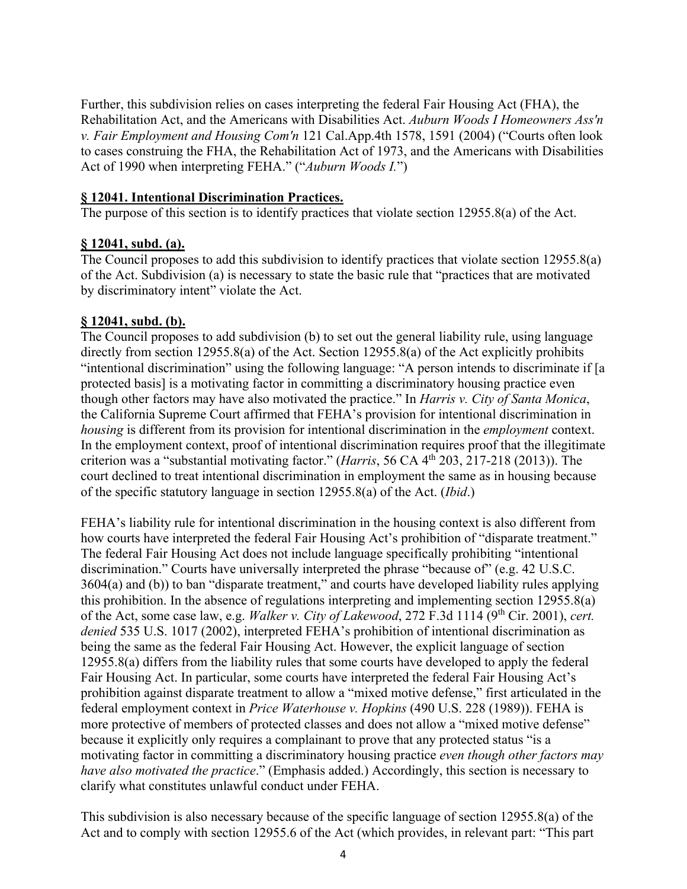Further, this subdivision relies on cases interpreting the federal Fair Housing Act (FHA), the Rehabilitation Act, and the Americans with Disabilities Act. *Auburn Woods I Homeowners Ass'n v. Fair Employment and Housing Com'n* 121 Cal.App.4th 1578, 1591 (2004) ("Courts often look to cases construing the FHA, the Rehabilitation Act of 1973, and the Americans with Disabilities Act of 1990 when interpreting FEHA." ("*Auburn Woods I.*")

## **§ 12041. Intentional Discrimination Practices.**

The purpose of this section is to identify practices that violate section 12955.8(a) of the Act.

#### **§ 12041, subd. (a).**

The Council proposes to add this subdivision to identify practices that violate section 12955.8(a) of the Act. Subdivision (a) is necessary to state the basic rule that "practices that are motivated by discriminatory intent" violate the Act.

#### **§ 12041, subd. (b).**

The Council proposes to add subdivision (b) to set out the general liability rule, using language directly from section 12955.8(a) of the Act. Section 12955.8(a) of the Act explicitly prohibits "intentional discrimination" using the following language: "A person intends to discriminate if [a protected basis] is a motivating factor in committing a discriminatory housing practice even though other factors may have also motivated the practice." In *Harris v. City of Santa Monica*, the California Supreme Court affirmed that FEHA's provision for intentional discrimination in *housing* is different from its provision for intentional discrimination in the *employment* context. In the employment context, proof of intentional discrimination requires proof that the illegitimate criterion was a "substantial motivating factor." (*Harris*, 56 CA 4th 203, 217-218 (2013)). The court declined to treat intentional discrimination in employment the same as in housing because of the specific statutory language in section 12955.8(a) of the Act. (*Ibid*.)

FEHA's liability rule for intentional discrimination in the housing context is also different from how courts have interpreted the federal Fair Housing Act's prohibition of "disparate treatment." The federal Fair Housing Act does not include language specifically prohibiting "intentional discrimination." Courts have universally interpreted the phrase "because of" (e.g. 42 U.S.C. 3604(a) and (b)) to ban "disparate treatment," and courts have developed liability rules applying this prohibition. In the absence of regulations interpreting and implementing section 12955.8(a) of the Act, some case law, e.g. *Walker v. City of Lakewood*, 272 F.3d 1114 (9th Cir. 2001), *cert. denied* 535 U.S. 1017 (2002), interpreted FEHA's prohibition of intentional discrimination as being the same as the federal Fair Housing Act. However, the explicit language of section 12955.8(a) differs from the liability rules that some courts have developed to apply the federal Fair Housing Act. In particular, some courts have interpreted the federal Fair Housing Act's prohibition against disparate treatment to allow a "mixed motive defense," first articulated in the federal employment context in *Price Waterhouse v. Hopkins* (490 U.S. 228 (1989)). FEHA is more protective of members of protected classes and does not allow a "mixed motive defense" because it explicitly only requires a complainant to prove that any protected status "is a motivating factor in committing a discriminatory housing practice *even though other factors may have also motivated the practice*." (Emphasis added.) Accordingly, this section is necessary to clarify what constitutes unlawful conduct under FEHA.

This subdivision is also necessary because of the specific language of section 12955.8(a) of the Act and to comply with section 12955.6 of the Act (which provides, in relevant part: "This part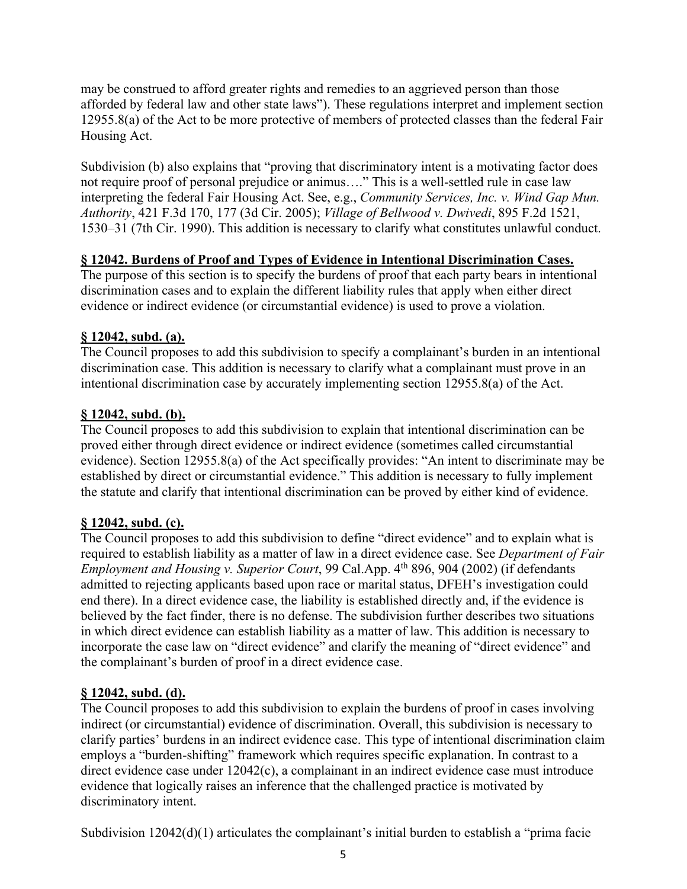may be construed to afford greater rights and remedies to an aggrieved person than those afforded by federal law and other state laws"). These regulations interpret and implement section 12955.8(a) of the Act to be more protective of members of protected classes than the federal Fair Housing Act.

Subdivision (b) also explains that "proving that discriminatory intent is a motivating factor does not require proof of personal prejudice or animus…." This is a well-settled rule in case law interpreting the federal Fair Housing Act. See, e.g., *Community Services, Inc. v. Wind Gap Mun. Authority*, 421 F.3d 170, 177 (3d Cir. 2005); *Village of Bellwood v. Dwivedi*, 895 F.2d 1521, 1530–31 (7th Cir. 1990). This addition is necessary to clarify what constitutes unlawful conduct.

## **§ 12042. Burdens of Proof and Types of Evidence in Intentional Discrimination Cases.**

The purpose of this section is to specify the burdens of proof that each party bears in intentional discrimination cases and to explain the different liability rules that apply when either direct evidence or indirect evidence (or circumstantial evidence) is used to prove a violation.

## **§ 12042, subd. (a).**

The Council proposes to add this subdivision to specify a complainant's burden in an intentional discrimination case. This addition is necessary to clarify what a complainant must prove in an intentional discrimination case by accurately implementing section 12955.8(a) of the Act.

## **§ 12042, subd. (b).**

The Council proposes to add this subdivision to explain that intentional discrimination can be proved either through direct evidence or indirect evidence (sometimes called circumstantial evidence). Section 12955.8(a) of the Act specifically provides: "An intent to discriminate may be established by direct or circumstantial evidence." This addition is necessary to fully implement the statute and clarify that intentional discrimination can be proved by either kind of evidence.

## **§ 12042, subd. (c).**

The Council proposes to add this subdivision to define "direct evidence" and to explain what is required to establish liability as a matter of law in a direct evidence case. See *Department of Fair Employment and Housing v. Superior Court*, 99 Cal.App. 4<sup>th</sup> 896, 904 (2002) (if defendants admitted to rejecting applicants based upon race or marital status, DFEH's investigation could end there). In a direct evidence case, the liability is established directly and, if the evidence is believed by the fact finder, there is no defense. The subdivision further describes two situations in which direct evidence can establish liability as a matter of law. This addition is necessary to incorporate the case law on "direct evidence" and clarify the meaning of "direct evidence" and the complainant's burden of proof in a direct evidence case.

## **§ 12042, subd. (d).**

The Council proposes to add this subdivision to explain the burdens of proof in cases involving indirect (or circumstantial) evidence of discrimination. Overall, this subdivision is necessary to clarify parties' burdens in an indirect evidence case. This type of intentional discrimination claim employs a "burden-shifting" framework which requires specific explanation. In contrast to a direct evidence case under 12042(c), a complainant in an indirect evidence case must introduce evidence that logically raises an inference that the challenged practice is motivated by discriminatory intent.

Subdivision 12042(d)(1) articulates the complainant's initial burden to establish a "prima facie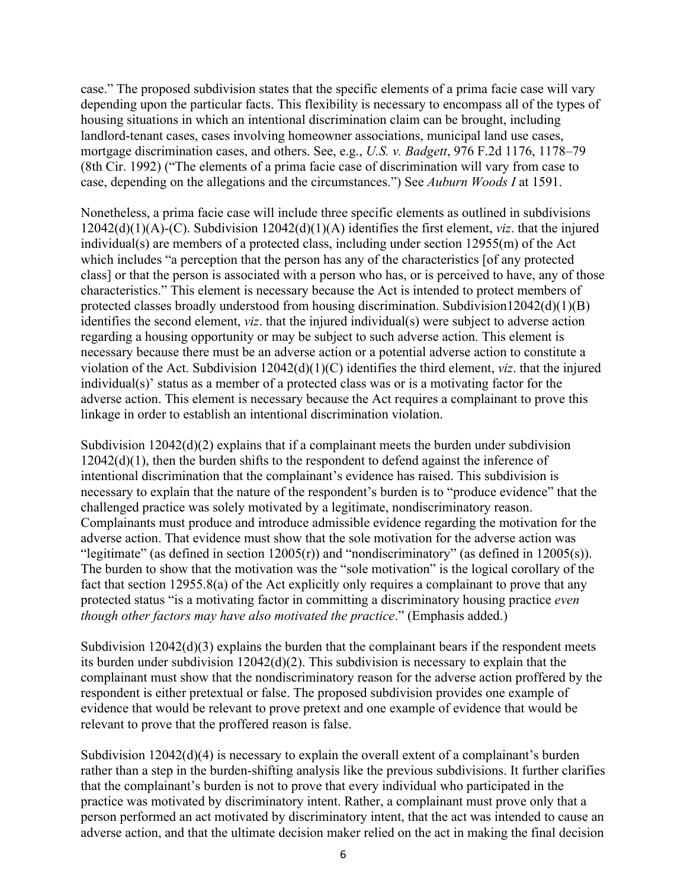case." The proposed subdivision states that the specific elements of a prima facie case will vary depending upon the particular facts. This flexibility is necessary to encompass all of the types of housing situations in which an intentional discrimination claim can be brought, including landlord-tenant cases, cases involving homeowner associations, municipal land use cases, mortgage discrimination cases, and others. See, e.g., *U.S. v. Badgett*, 976 F.2d 1176, 1178–79 (8th Cir. 1992) ("The elements of a prima facie case of discrimination will vary from case to case, depending on the allegations and the circumstances.") See *Auburn Woods I* at 1591.

Nonetheless, a prima facie case will include three specific elements as outlined in subdivisions 12042(d)(1)(A)-(C). Subdivision 12042(d)(1)(A) identifies the first element, *viz*. that the injured individual(s) are members of a protected class, including under section 12955(m) of the Act which includes "a perception that the person has any of the characteristics [of any protected class] or that the person is associated with a person who has, or is perceived to have, any of those characteristics." This element is necessary because the Act is intended to protect members of protected classes broadly understood from housing discrimination. Subdivision12042(d)(1)(B) identifies the second element, *viz*. that the injured individual(s) were subject to adverse action regarding a housing opportunity or may be subject to such adverse action. This element is necessary because there must be an adverse action or a potential adverse action to constitute a violation of the Act. Subdivision 12042(d)(1)(C) identifies the third element, *viz*. that the injured individual(s)' status as a member of a protected class was or is a motivating factor for the adverse action. This element is necessary because the Act requires a complainant to prove this linkage in order to establish an intentional discrimination violation.

Subdivision  $12042(d)(2)$  explains that if a complainant meets the burden under subdivision  $12042(d)(1)$ , then the burden shifts to the respondent to defend against the inference of intentional discrimination that the complainant's evidence has raised. This subdivision is necessary to explain that the nature of the respondent's burden is to "produce evidence" that the challenged practice was solely motivated by a legitimate, nondiscriminatory reason. Complainants must produce and introduce admissible evidence regarding the motivation for the adverse action. That evidence must show that the sole motivation for the adverse action was "legitimate" (as defined in section  $12005(r)$ ) and "nondiscriminatory" (as defined in  $12005(s)$ ). The burden to show that the motivation was the "sole motivation" is the logical corollary of the fact that section 12955.8(a) of the Act explicitly only requires a complainant to prove that any protected status "is a motivating factor in committing a discriminatory housing practice *even though other factors may have also motivated the practice*." (Emphasis added.)

Subdivision 12042(d)(3) explains the burden that the complainant bears if the respondent meets its burden under subdivision 12042(d)(2). This subdivision is necessary to explain that the complainant must show that the nondiscriminatory reason for the adverse action proffered by the respondent is either pretextual or false. The proposed subdivision provides one example of evidence that would be relevant to prove pretext and one example of evidence that would be relevant to prove that the proffered reason is false.

Subdivision  $12042(d)(4)$  is necessary to explain the overall extent of a complainant's burden rather than a step in the burden-shifting analysis like the previous subdivisions. It further clarifies that the complainant's burden is not to prove that every individual who participated in the practice was motivated by discriminatory intent. Rather, a complainant must prove only that a person performed an act motivated by discriminatory intent, that the act was intended to cause an adverse action, and that the ultimate decision maker relied on the act in making the final decision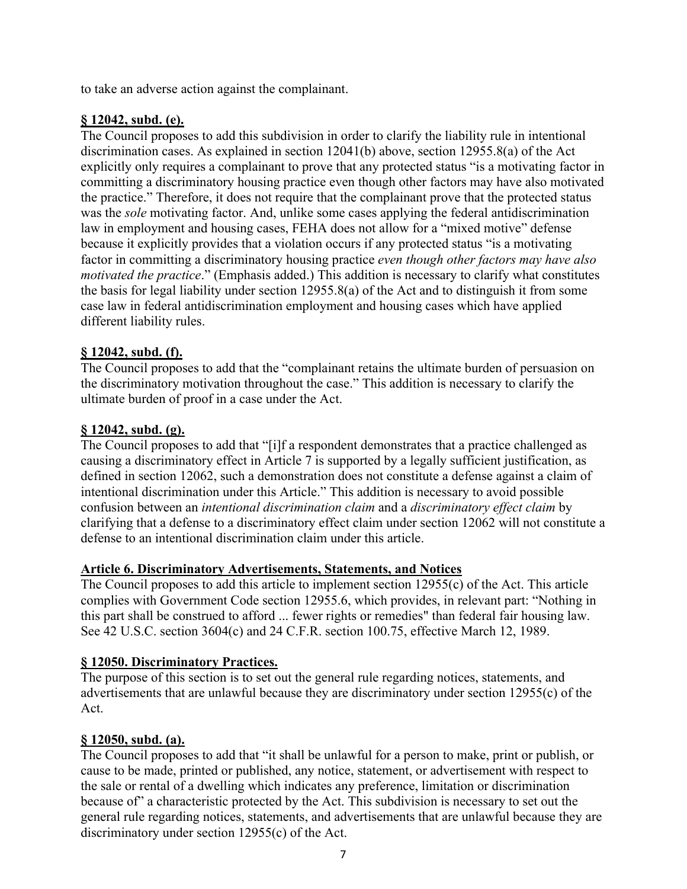to take an adverse action against the complainant.

## **§ 12042, subd. (e).**

The Council proposes to add this subdivision in order to clarify the liability rule in intentional discrimination cases. As explained in section 12041(b) above, section 12955.8(a) of the Act explicitly only requires a complainant to prove that any protected status "is a motivating factor in committing a discriminatory housing practice even though other factors may have also motivated the practice." Therefore, it does not require that the complainant prove that the protected status was the *sole* motivating factor. And, unlike some cases applying the federal antidiscrimination law in employment and housing cases, FEHA does not allow for a "mixed motive" defense because it explicitly provides that a violation occurs if any protected status "is a motivating factor in committing a discriminatory housing practice *even though other factors may have also motivated the practice*." (Emphasis added.) This addition is necessary to clarify what constitutes the basis for legal liability under section 12955.8(a) of the Act and to distinguish it from some case law in federal antidiscrimination employment and housing cases which have applied different liability rules.

## **§ 12042, subd. (f).**

The Council proposes to add that the "complainant retains the ultimate burden of persuasion on the discriminatory motivation throughout the case." This addition is necessary to clarify the ultimate burden of proof in a case under the Act.

## **§ 12042, subd. (g).**

The Council proposes to add that "[i]f a respondent demonstrates that a practice challenged as causing a discriminatory effect in Article 7 is supported by a legally sufficient justification, as defined in section 12062, such a demonstration does not constitute a defense against a claim of intentional discrimination under this Article." This addition is necessary to avoid possible confusion between an *intentional discrimination claim* and a *discriminatory effect claim* by clarifying that a defense to a discriminatory effect claim under section 12062 will not constitute a defense to an intentional discrimination claim under this article.

## **Article 6. Discriminatory Advertisements, Statements, and Notices**

The Council proposes to add this article to implement section 12955(c) of the Act. This article complies with Government Code section 12955.6, which provides, in relevant part: "Nothing in this part shall be construed to afford ... fewer rights or remedies" than federal fair housing law. See 42 U.S.C. section 3604(c) and 24 C.F.R. section 100.75, effective March 12, 1989.

## **§ 12050. Discriminatory Practices.**

The purpose of this section is to set out the general rule regarding notices, statements, and advertisements that are unlawful because they are discriminatory under section 12955(c) of the Act.

## **§ 12050, subd. (a).**

The Council proposes to add that "it shall be unlawful for a person to make, print or publish, or cause to be made, printed or published, any notice, statement, or advertisement with respect to the sale or rental of a dwelling which indicates any preference, limitation or discrimination because of" a characteristic protected by the Act. This subdivision is necessary to set out the general rule regarding notices, statements, and advertisements that are unlawful because they are discriminatory under section 12955(c) of the Act.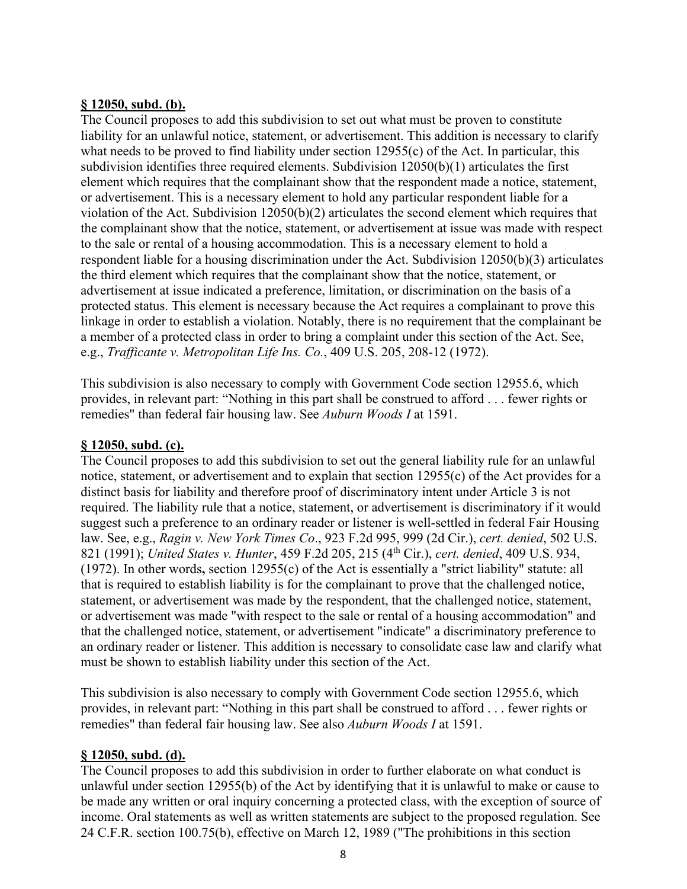#### **§ 12050, subd. (b).**

The Council proposes to add this subdivision to set out what must be proven to constitute liability for an unlawful notice, statement, or advertisement. This addition is necessary to clarify what needs to be proved to find liability under section 12955(c) of the Act. In particular, this subdivision identifies three required elements. Subdivision 12050(b)(1) articulates the first element which requires that the complainant show that the respondent made a notice, statement, or advertisement. This is a necessary element to hold any particular respondent liable for a violation of the Act. Subdivision 12050(b)(2) articulates the second element which requires that the complainant show that the notice, statement, or advertisement at issue was made with respect to the sale or rental of a housing accommodation. This is a necessary element to hold a respondent liable for a housing discrimination under the Act. Subdivision 12050(b)(3) articulates the third element which requires that the complainant show that the notice, statement, or advertisement at issue indicated a preference, limitation, or discrimination on the basis of a protected status. This element is necessary because the Act requires a complainant to prove this linkage in order to establish a violation. Notably, there is no requirement that the complainant be a member of a protected class in order to bring a complaint under this section of the Act. See, e.g., *Trafficante v. Metropolitan Life Ins. Co.*, 409 U.S. 205, 208-12 (1972).

This subdivision is also necessary to comply with Government Code section 12955.6, which provides, in relevant part: "Nothing in this part shall be construed to afford . . . fewer rights or remedies" than federal fair housing law. See *Auburn Woods I* at 1591.

## **§ 12050, subd. (c).**

The Council proposes to add this subdivision to set out the general liability rule for an unlawful notice, statement, or advertisement and to explain that section 12955(c) of the Act provides for a distinct basis for liability and therefore proof of discriminatory intent under Article 3 is not required. The liability rule that a notice, statement, or advertisement is discriminatory if it would suggest such a preference to an ordinary reader or listener is well-settled in federal Fair Housing law. See, e.g., *Ragin v. New York Times Co*., 923 F.2d 995, 999 (2d Cir.), *cert. denied*, 502 U.S. 821 (1991); *United States v. Hunter*, 459 F.2d 205, 215 (4th Cir.), *cert. denied*, 409 U.S. 934, (1972). In other words**,** section 12955(c) of the Act is essentially a "strict liability" statute: all that is required to establish liability is for the complainant to prove that the challenged notice, statement, or advertisement was made by the respondent, that the challenged notice, statement, or advertisement was made "with respect to the sale or rental of a housing accommodation" and that the challenged notice, statement, or advertisement "indicate" a discriminatory preference to an ordinary reader or listener. This addition is necessary to consolidate case law and clarify what must be shown to establish liability under this section of the Act.

This subdivision is also necessary to comply with Government Code section 12955.6, which provides, in relevant part: "Nothing in this part shall be construed to afford . . . fewer rights or remedies" than federal fair housing law. See also *Auburn Woods I* at 1591.

#### **§ 12050, subd. (d).**

The Council proposes to add this subdivision in order to further elaborate on what conduct is unlawful under section 12955(b) of the Act by identifying that it is unlawful to make or cause to be made any written or oral inquiry concerning a protected class, with the exception of source of income. Oral statements as well as written statements are subject to the proposed regulation. See 24 C.F.R. section 100.75(b), effective on March 12, 1989 ("The prohibitions in this section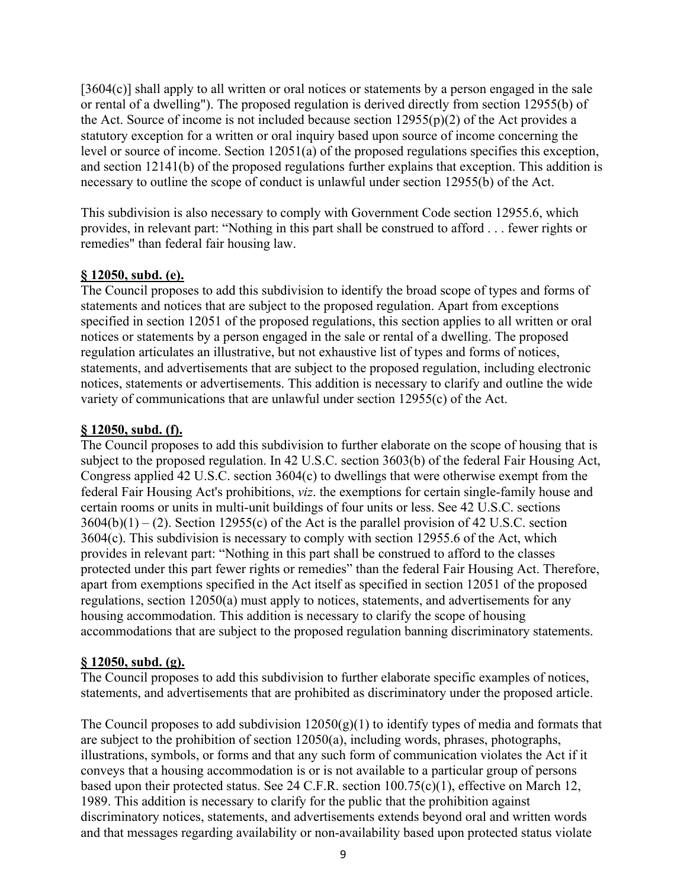[3604(c)] shall apply to all written or oral notices or statements by a person engaged in the sale or rental of a dwelling"). The proposed regulation is derived directly from section 12955(b) of the Act. Source of income is not included because section  $12955(p)(2)$  of the Act provides a statutory exception for a written or oral inquiry based upon source of income concerning the level or source of income. Section 12051(a) of the proposed regulations specifies this exception, and section 12141(b) of the proposed regulations further explains that exception. This addition is necessary to outline the scope of conduct is unlawful under section 12955(b) of the Act.

This subdivision is also necessary to comply with Government Code section 12955.6, which provides, in relevant part: "Nothing in this part shall be construed to afford . . . fewer rights or remedies" than federal fair housing law.

## **§ 12050, subd. (e).**

The Council proposes to add this subdivision to identify the broad scope of types and forms of statements and notices that are subject to the proposed regulation. Apart from exceptions specified in section 12051 of the proposed regulations, this section applies to all written or oral notices or statements by a person engaged in the sale or rental of a dwelling. The proposed regulation articulates an illustrative, but not exhaustive list of types and forms of notices, statements, and advertisements that are subject to the proposed regulation, including electronic notices, statements or advertisements. This addition is necessary to clarify and outline the wide variety of communications that are unlawful under section 12955(c) of the Act.

## **§ 12050, subd. (f).**

The Council proposes to add this subdivision to further elaborate on the scope of housing that is subject to the proposed regulation. In 42 U.S.C. section 3603(b) of the federal Fair Housing Act, Congress applied 42 U.S.C. section 3604(c) to dwellings that were otherwise exempt from the federal Fair Housing Act's prohibitions, *viz*. the exemptions for certain single-family house and certain rooms or units in multi-unit buildings of four units or less. See 42 U.S.C. sections  $3604(b)(1) - (2)$ . Section 12955(c) of the Act is the parallel provision of 42 U.S.C. section 3604(c). This subdivision is necessary to comply with section 12955.6 of the Act, which provides in relevant part: "Nothing in this part shall be construed to afford to the classes protected under this part fewer rights or remedies" than the federal Fair Housing Act. Therefore, apart from exemptions specified in the Act itself as specified in section 12051 of the proposed regulations, section 12050(a) must apply to notices, statements, and advertisements for any housing accommodation. This addition is necessary to clarify the scope of housing accommodations that are subject to the proposed regulation banning discriminatory statements.

#### **§ 12050, subd. (g).**

The Council proposes to add this subdivision to further elaborate specific examples of notices, statements, and advertisements that are prohibited as discriminatory under the proposed article.

The Council proposes to add subdivision  $12050(g)(1)$  to identify types of media and formats that are subject to the prohibition of section 12050(a), including words, phrases, photographs, illustrations, symbols, or forms and that any such form of communication violates the Act if it conveys that a housing accommodation is or is not available to a particular group of persons based upon their protected status. See 24 C.F.R. section 100.75(c)(1), effective on March 12, 1989. This addition is necessary to clarify for the public that the prohibition against discriminatory notices, statements, and advertisements extends beyond oral and written words and that messages regarding availability or non-availability based upon protected status violate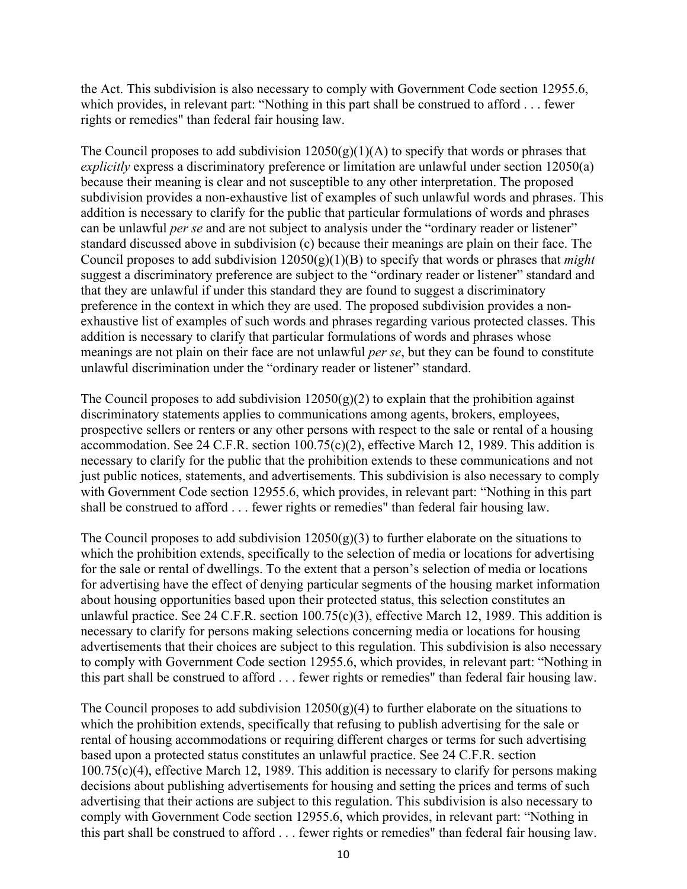the Act. This subdivision is also necessary to comply with Government Code section 12955.6, which provides, in relevant part: "Nothing in this part shall be construed to afford . . . fewer rights or remedies" than federal fair housing law.

The Council proposes to add subdivision  $12050(g)(1)(A)$  to specify that words or phrases that *explicitly* express a discriminatory preference or limitation are unlawful under section 12050(a) because their meaning is clear and not susceptible to any other interpretation. The proposed subdivision provides a non-exhaustive list of examples of such unlawful words and phrases. This addition is necessary to clarify for the public that particular formulations of words and phrases can be unlawful *per se* and are not subject to analysis under the "ordinary reader or listener" standard discussed above in subdivision (c) because their meanings are plain on their face. The Council proposes to add subdivision 12050(g)(1)(B) to specify that words or phrases that *might* suggest a discriminatory preference are subject to the "ordinary reader or listener" standard and that they are unlawful if under this standard they are found to suggest a discriminatory preference in the context in which they are used. The proposed subdivision provides a nonexhaustive list of examples of such words and phrases regarding various protected classes. This addition is necessary to clarify that particular formulations of words and phrases whose meanings are not plain on their face are not unlawful *per se*, but they can be found to constitute unlawful discrimination under the "ordinary reader or listener" standard.

The Council proposes to add subdivision  $12050(g)(2)$  to explain that the prohibition against discriminatory statements applies to communications among agents, brokers, employees, prospective sellers or renters or any other persons with respect to the sale or rental of a housing accommodation. See 24 C.F.R. section 100.75(c)(2), effective March 12, 1989. This addition is necessary to clarify for the public that the prohibition extends to these communications and not just public notices, statements, and advertisements. This subdivision is also necessary to comply with Government Code section 12955.6, which provides, in relevant part: "Nothing in this part shall be construed to afford . . . fewer rights or remedies" than federal fair housing law.

The Council proposes to add subdivision  $12050(g)(3)$  to further elaborate on the situations to which the prohibition extends, specifically to the selection of media or locations for advertising for the sale or rental of dwellings. To the extent that a person's selection of media or locations for advertising have the effect of denying particular segments of the housing market information about housing opportunities based upon their protected status, this selection constitutes an unlawful practice. See 24 C.F.R. section 100.75(c)(3), effective March 12, 1989. This addition is necessary to clarify for persons making selections concerning media or locations for housing advertisements that their choices are subject to this regulation. This subdivision is also necessary to comply with Government Code section 12955.6, which provides, in relevant part: "Nothing in this part shall be construed to afford . . . fewer rights or remedies" than federal fair housing law.

The Council proposes to add subdivision  $12050(g)(4)$  to further elaborate on the situations to which the prohibition extends, specifically that refusing to publish advertising for the sale or rental of housing accommodations or requiring different charges or terms for such advertising based upon a protected status constitutes an unlawful practice. See 24 C.F.R. section 100.75(c)(4), effective March 12, 1989. This addition is necessary to clarify for persons making decisions about publishing advertisements for housing and setting the prices and terms of such advertising that their actions are subject to this regulation. This subdivision is also necessary to comply with Government Code section 12955.6, which provides, in relevant part: "Nothing in this part shall be construed to afford . . . fewer rights or remedies" than federal fair housing law.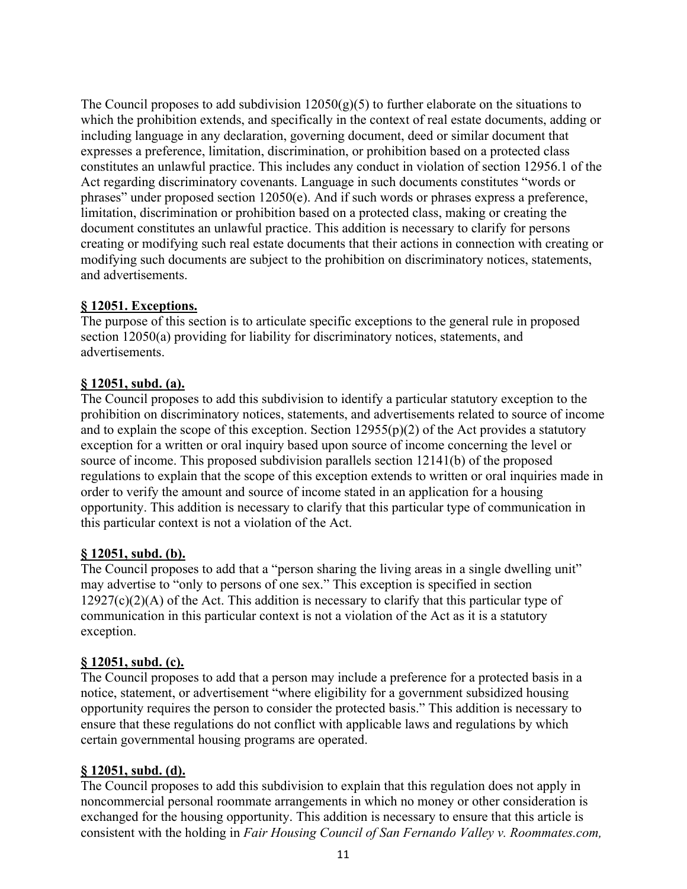The Council proposes to add subdivision  $12050(g)(5)$  to further elaborate on the situations to which the prohibition extends, and specifically in the context of real estate documents, adding or including language in any declaration, governing document, deed or similar document that expresses a preference, limitation, discrimination, or prohibition based on a protected class constitutes an unlawful practice. This includes any conduct in violation of section 12956.1 of the Act regarding discriminatory covenants. Language in such documents constitutes "words or phrases" under proposed section 12050(e). And if such words or phrases express a preference, limitation, discrimination or prohibition based on a protected class, making or creating the document constitutes an unlawful practice. This addition is necessary to clarify for persons creating or modifying such real estate documents that their actions in connection with creating or modifying such documents are subject to the prohibition on discriminatory notices, statements, and advertisements.

#### **§ 12051. Exceptions.**

The purpose of this section is to articulate specific exceptions to the general rule in proposed section 12050(a) providing for liability for discriminatory notices, statements, and advertisements.

#### **§ 12051, subd. (a).**

The Council proposes to add this subdivision to identify a particular statutory exception to the prohibition on discriminatory notices, statements, and advertisements related to source of income and to explain the scope of this exception. Section  $12955(p)(2)$  of the Act provides a statutory exception for a written or oral inquiry based upon source of income concerning the level or source of income. This proposed subdivision parallels section 12141(b) of the proposed regulations to explain that the scope of this exception extends to written or oral inquiries made in order to verify the amount and source of income stated in an application for a housing opportunity. This addition is necessary to clarify that this particular type of communication in this particular context is not a violation of the Act.

#### **§ 12051, subd. (b).**

The Council proposes to add that a "person sharing the living areas in a single dwelling unit" may advertise to "only to persons of one sex." This exception is specified in section  $12927(c)(2)(A)$  of the Act. This addition is necessary to clarify that this particular type of communication in this particular context is not a violation of the Act as it is a statutory exception.

#### **§ 12051, subd. (c).**

The Council proposes to add that a person may include a preference for a protected basis in a notice, statement, or advertisement "where eligibility for a government subsidized housing opportunity requires the person to consider the protected basis." This addition is necessary to ensure that these regulations do not conflict with applicable laws and regulations by which certain governmental housing programs are operated.

## **§ 12051, subd. (d).**

The Council proposes to add this subdivision to explain that this regulation does not apply in noncommercial personal roommate arrangements in which no money or other consideration is exchanged for the housing opportunity. This addition is necessary to ensure that this article is consistent with the holding in *Fair Housing Council of San Fernando Valley v. Roommates.com,*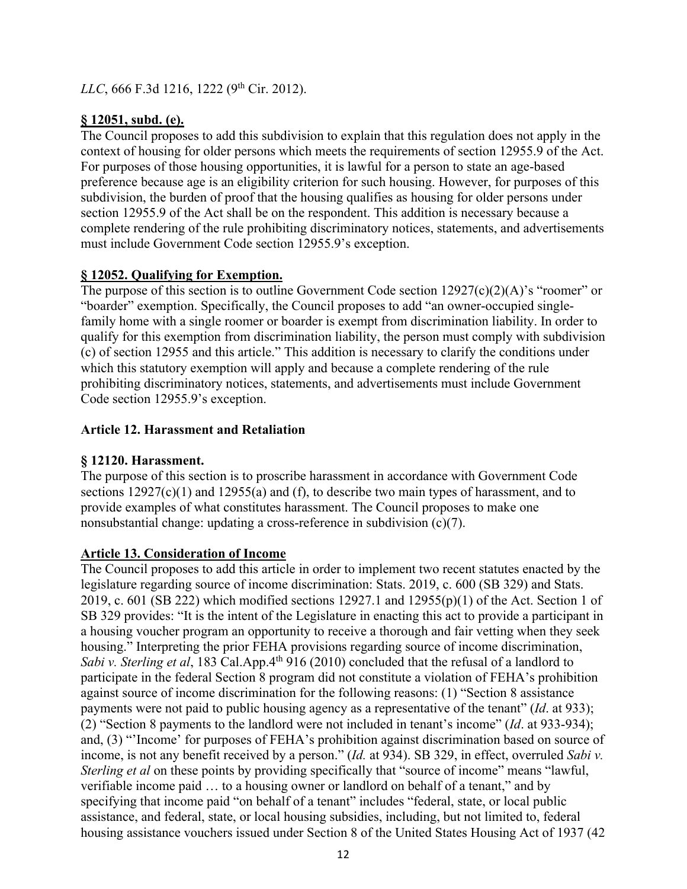*LLC*, 666 F.3d 1216, 1222 (9<sup>th</sup> Cir. 2012).

## **§ 12051, subd. (e).**

The Council proposes to add this subdivision to explain that this regulation does not apply in the context of housing for older persons which meets the requirements of section 12955.9 of the Act. For purposes of those housing opportunities, it is lawful for a person to state an age-based preference because age is an eligibility criterion for such housing. However, for purposes of this subdivision, the burden of proof that the housing qualifies as housing for older persons under section 12955.9 of the Act shall be on the respondent. This addition is necessary because a complete rendering of the rule prohibiting discriminatory notices, statements, and advertisements must include Government Code section 12955.9's exception.

## **§ 12052. Qualifying for Exemption.**

The purpose of this section is to outline Government Code section  $12927(c)(2)(A)$ 's "roomer" or "boarder" exemption. Specifically, the Council proposes to add "an owner-occupied singlefamily home with a single roomer or boarder is exempt from discrimination liability. In order to qualify for this exemption from discrimination liability, the person must comply with subdivision (c) of section 12955 and this article." This addition is necessary to clarify the conditions under which this statutory exemption will apply and because a complete rendering of the rule prohibiting discriminatory notices, statements, and advertisements must include Government Code section 12955.9's exception.

## **Article 12. Harassment and Retaliation**

## **§ 12120. Harassment.**

The purpose of this section is to proscribe harassment in accordance with Government Code sections  $12927(c)(1)$  and  $12955(a)$  and (f), to describe two main types of harassment, and to provide examples of what constitutes harassment. The Council proposes to make one nonsubstantial change: updating a cross-reference in subdivision (c)(7).

## **Article 13. Consideration of Income**

The Council proposes to add this article in order to implement two recent statutes enacted by the legislature regarding source of income discrimination: Stats. 2019, c. 600 (SB 329) and Stats. 2019, c. 601 (SB 222) which modified sections 12927.1 and  $12955(p)(1)$  of the Act. Section 1 of SB 329 provides: "It is the intent of the Legislature in enacting this act to provide a participant in a housing voucher program an opportunity to receive a thorough and fair vetting when they seek housing." Interpreting the prior FEHA provisions regarding source of income discrimination, *Sabi v. Sterling et al*, 183 Cal.App.4<sup>th</sup> 916 (2010) concluded that the refusal of a landlord to participate in the federal Section 8 program did not constitute a violation of FEHA's prohibition against source of income discrimination for the following reasons: (1) "Section 8 assistance payments were not paid to public housing agency as a representative of the tenant" (*Id*. at 933); (2) "Section 8 payments to the landlord were not included in tenant's income" (*Id*. at 933-934); and, (3) "'Income' for purposes of FEHA's prohibition against discrimination based on source of income, is not any benefit received by a person." (*Id.* at 934). SB 329, in effect, overruled *Sabi v. Sterling et al* on these points by providing specifically that "source of income" means "lawful, verifiable income paid … to a housing owner or landlord on behalf of a tenant," and by specifying that income paid "on behalf of a tenant" includes "federal, state, or local public assistance, and federal, state, or local housing subsidies, including, but not limited to, federal housing assistance vouchers issued under Section 8 of the United States Housing Act of 1937 (42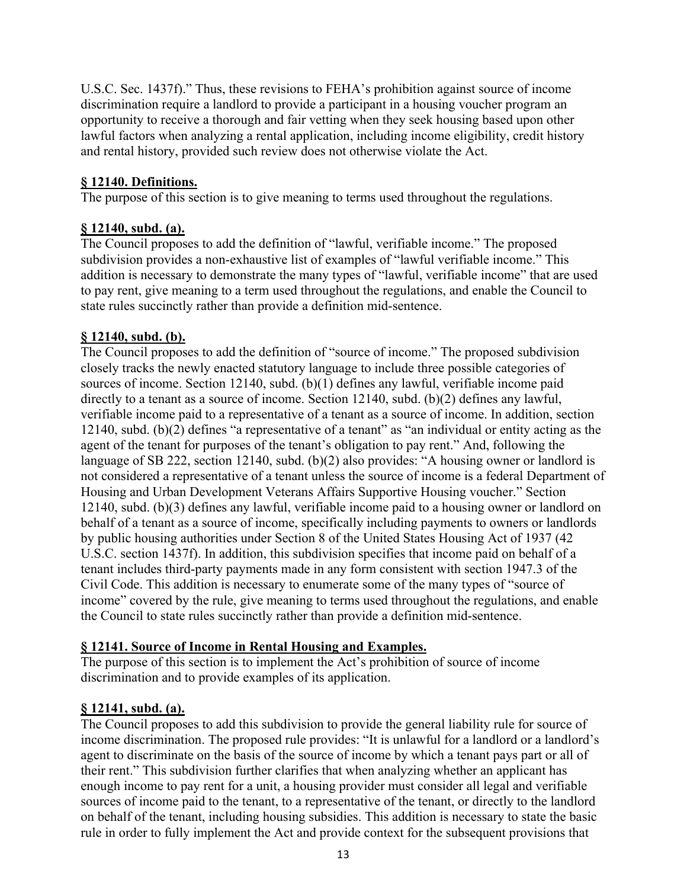U.S.C. Sec. 1437f)." Thus, these revisions to FEHA's prohibition against source of income discrimination require a landlord to provide a participant in a housing voucher program an opportunity to receive a thorough and fair vetting when they seek housing based upon other lawful factors when analyzing a rental application, including income eligibility, credit history and rental history, provided such review does not otherwise violate the Act.

## **§ 12140. Definitions.**

The purpose of this section is to give meaning to terms used throughout the regulations.

# **§ 12140, subd. (a).**

The Council proposes to add the definition of "lawful, verifiable income." The proposed subdivision provides a non-exhaustive list of examples of "lawful verifiable income." This addition is necessary to demonstrate the many types of "lawful, verifiable income" that are used to pay rent, give meaning to a term used throughout the regulations, and enable the Council to state rules succinctly rather than provide a definition mid-sentence.

## **§ 12140, subd. (b).**

The Council proposes to add the definition of "source of income." The proposed subdivision closely tracks the newly enacted statutory language to include three possible categories of sources of income. Section 12140, subd. (b)(1) defines any lawful, verifiable income paid directly to a tenant as a source of income. Section 12140, subd. (b)(2) defines any lawful, verifiable income paid to a representative of a tenant as a source of income. In addition, section 12140, subd. (b)(2) defines "a representative of a tenant" as "an individual or entity acting as the agent of the tenant for purposes of the tenant's obligation to pay rent." And, following the language of SB 222, section 12140, subd. (b)(2) also provides: "A housing owner or landlord is not considered a representative of a tenant unless the source of income is a federal Department of Housing and Urban Development Veterans Affairs Supportive Housing voucher." Section 12140, subd. (b)(3) defines any lawful, verifiable income paid to a housing owner or landlord on behalf of a tenant as a source of income, specifically including payments to owners or landlords by public housing authorities under Section 8 of the United States Housing Act of 1937 (42 U.S.C. section 1437f). In addition, this subdivision specifies that income paid on behalf of a tenant includes third-party payments made in any form consistent with section 1947.3 of the Civil Code. This addition is necessary to enumerate some of the many types of "source of income" covered by the rule, give meaning to terms used throughout the regulations, and enable the Council to state rules succinctly rather than provide a definition mid-sentence.

## **§ 12141. Source of Income in Rental Housing and Examples.**

The purpose of this section is to implement the Act's prohibition of source of income discrimination and to provide examples of its application.

## **§ 12141, subd. (a).**

The Council proposes to add this subdivision to provide the general liability rule for source of income discrimination. The proposed rule provides: "It is unlawful for a landlord or a landlord's agent to discriminate on the basis of the source of income by which a tenant pays part or all of their rent." This subdivision further clarifies that when analyzing whether an applicant has enough income to pay rent for a unit, a housing provider must consider all legal and verifiable sources of income paid to the tenant, to a representative of the tenant, or directly to the landlord on behalf of the tenant, including housing subsidies. This addition is necessary to state the basic rule in order to fully implement the Act and provide context for the subsequent provisions that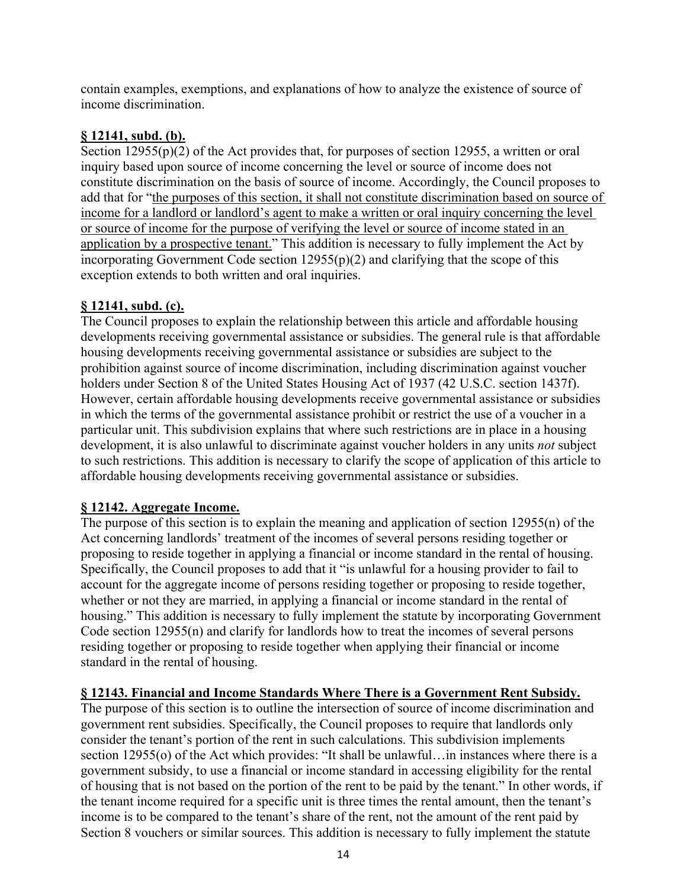contain examples, exemptions, and explanations of how to analyze the existence of source of income discrimination.

## **§ 12141, subd. (b).**

Section  $12955(p)(2)$  of the Act provides that, for purposes of section 12955, a written or oral inquiry based upon source of income concerning the level or source of income does not constitute discrimination on the basis of source of income. Accordingly, the Council proposes to add that for "the purposes of this section, it shall not constitute discrimination based on source of income for a landlord or landlord's agent to make a written or oral inquiry concerning the level or source of income for the purpose of verifying the level or source of income stated in an application by a prospective tenant." This addition is necessary to fully implement the Act by incorporating Government Code section  $12955(p)(2)$  and clarifying that the scope of this exception extends to both written and oral inquiries.

## **§ 12141, subd. (c).**

The Council proposes to explain the relationship between this article and affordable housing developments receiving governmental assistance or subsidies. The general rule is that affordable housing developments receiving governmental assistance or subsidies are subject to the prohibition against source of income discrimination, including discrimination against voucher holders under Section 8 of the United States Housing Act of 1937 (42 U.S.C. section 1437f). However, certain affordable housing developments receive governmental assistance or subsidies in which the terms of the governmental assistance prohibit or restrict the use of a voucher in a particular unit. This subdivision explains that where such restrictions are in place in a housing development, it is also unlawful to discriminate against voucher holders in any units *not* subject to such restrictions. This addition is necessary to clarify the scope of application of this article to affordable housing developments receiving governmental assistance or subsidies.

## **§ 12142. Aggregate Income.**

The purpose of this section is to explain the meaning and application of section 12955(n) of the Act concerning landlords' treatment of the incomes of several persons residing together or proposing to reside together in applying a financial or income standard in the rental of housing. Specifically, the Council proposes to add that it "is unlawful for a housing provider to fail to account for the aggregate income of persons residing together or proposing to reside together, whether or not they are married, in applying a financial or income standard in the rental of housing." This addition is necessary to fully implement the statute by incorporating Government Code section 12955(n) and clarify for landlords how to treat the incomes of several persons residing together or proposing to reside together when applying their financial or income standard in the rental of housing.

## **§ 12143. Financial and Income Standards Where There is a Government Rent Subsidy.**

The purpose of this section is to outline the intersection of source of income discrimination and government rent subsidies. Specifically, the Council proposes to require that landlords only consider the tenant's portion of the rent in such calculations. This subdivision implements section 12955(o) of the Act which provides: "It shall be unlawful…in instances where there is a government subsidy, to use a financial or income standard in accessing eligibility for the rental of housing that is not based on the portion of the rent to be paid by the tenant." In other words, if the tenant income required for a specific unit is three times the rental amount, then the tenant's income is to be compared to the tenant's share of the rent, not the amount of the rent paid by Section 8 vouchers or similar sources. This addition is necessary to fully implement the statute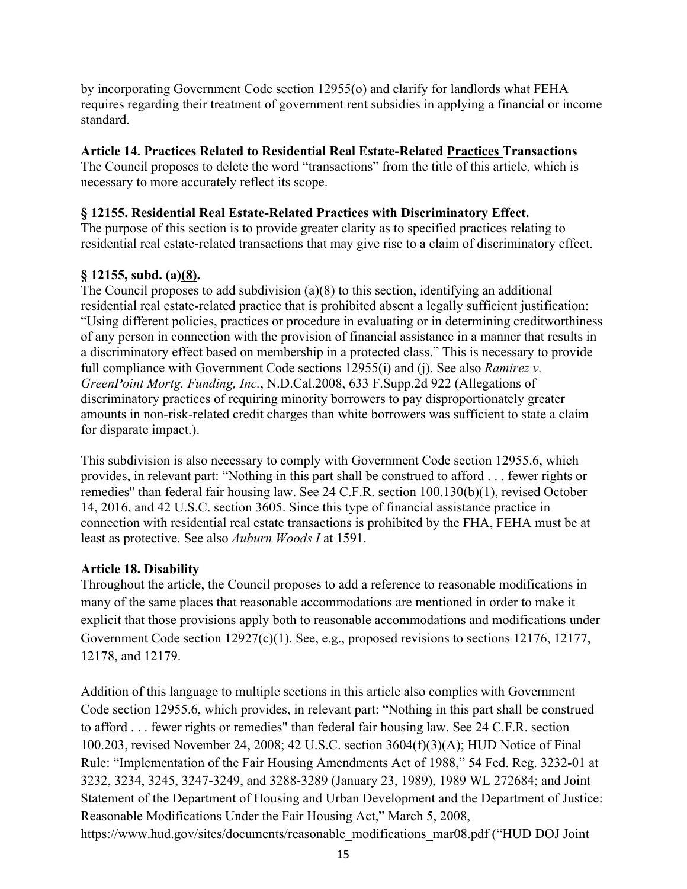by incorporating Government Code section 12955(o) and clarify for landlords what FEHA requires regarding their treatment of government rent subsidies in applying a financial or income standard.

## **Article 14. Practices Related to Residential Real Estate-Related Practices Transactions**

The Council proposes to delete the word "transactions" from the title of this article, which is necessary to more accurately reflect its scope.

## **§ 12155. Residential Real Estate-Related Practices with Discriminatory Effect.**

The purpose of this section is to provide greater clarity as to specified practices relating to residential real estate-related transactions that may give rise to a claim of discriminatory effect.

## **§ 12155, subd. (a)(8).**

The Council proposes to add subdivision (a)(8) to this section, identifying an additional residential real estate-related practice that is prohibited absent a legally sufficient justification: "Using different policies, practices or procedure in evaluating or in determining creditworthiness of any person in connection with the provision of financial assistance in a manner that results in a discriminatory effect based on membership in a protected class." This is necessary to provide full compliance with Government Code sections 12955(i) and (j). See also *Ramirez v. GreenPoint Mortg. Funding, Inc.*, N.D.Cal.2008, 633 F.Supp.2d 922 (Allegations of discriminatory practices of requiring minority borrowers to pay disproportionately greater amounts in non-risk-related credit charges than white borrowers was sufficient to state a claim for disparate impact.).

This subdivision is also necessary to comply with Government Code section 12955.6, which provides, in relevant part: "Nothing in this part shall be construed to afford . . . fewer rights or remedies" than federal fair housing law. See 24 C.F.R. section 100.130(b)(1), revised October 14, 2016, and 42 U.S.C. section 3605. Since this type of financial assistance practice in connection with residential real estate transactions is prohibited by the FHA, FEHA must be at least as protective. See also *Auburn Woods I* at 1591.

## **Article 18. Disability**

Throughout the article, the Council proposes to add a reference to reasonable modifications in many of the same places that reasonable accommodations are mentioned in order to make it explicit that those provisions apply both to reasonable accommodations and modifications under Government Code section 12927(c)(1). See, e.g., proposed revisions to sections 12176, 12177, 12178, and 12179.

Addition of this language to multiple sections in this article also complies with Government Code section 12955.6, which provides, in relevant part: "Nothing in this part shall be construed to afford . . . fewer rights or remedies" than federal fair housing law. See 24 C.F.R. section 100.203, revised November 24, 2008; 42 U.S.C. section 3604(f)(3)(A); HUD Notice of Final Rule: "Implementation of the Fair Housing Amendments Act of 1988," 54 Fed. Reg. 3232-01 at 3232, 3234, 3245, 3247-3249, and 3288-3289 (January 23, 1989), 1989 WL 272684; and Joint Statement of the Department of Housing and Urban Development and the Department of Justice: Reasonable Modifications Under the Fair Housing Act," March 5, 2008, https://www.hud.gov/sites/documents/reasonable\_modifications\_mar08.pdf ("HUD DOJ Joint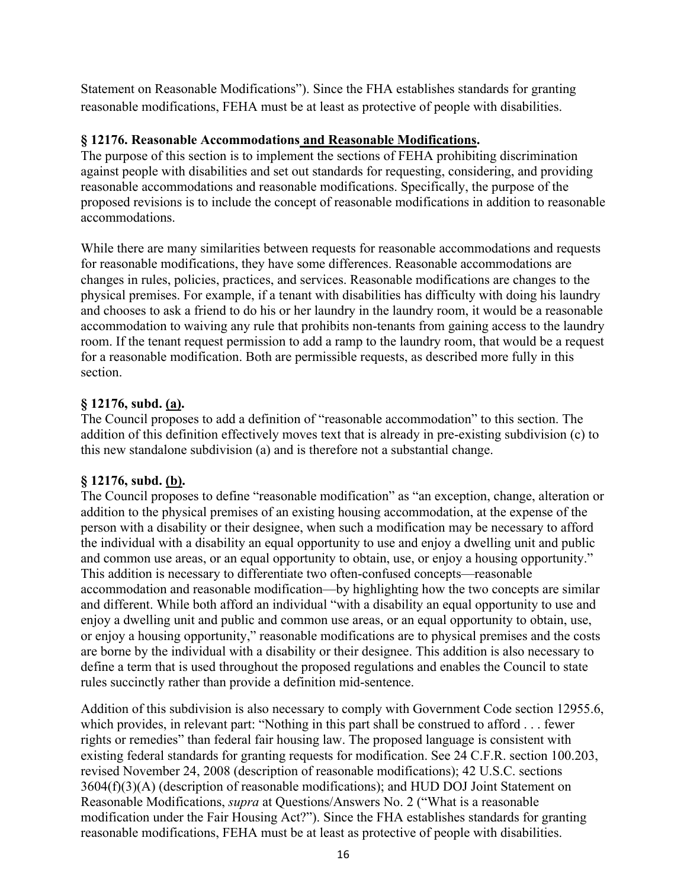Statement on Reasonable Modifications"). Since the FHA establishes standards for granting reasonable modifications, FEHA must be at least as protective of people with disabilities.

## **§ 12176. Reasonable Accommodations and Reasonable Modifications.**

The purpose of this section is to implement the sections of FEHA prohibiting discrimination against people with disabilities and set out standards for requesting, considering, and providing reasonable accommodations and reasonable modifications. Specifically, the purpose of the proposed revisions is to include the concept of reasonable modifications in addition to reasonable accommodations.

While there are many similarities between requests for reasonable accommodations and requests for reasonable modifications, they have some differences. Reasonable accommodations are changes in rules, policies, practices, and services. Reasonable modifications are changes to the physical premises. For example, if a tenant with disabilities has difficulty with doing his laundry and chooses to ask a friend to do his or her laundry in the laundry room, it would be a reasonable accommodation to waiving any rule that prohibits non-tenants from gaining access to the laundry room. If the tenant request permission to add a ramp to the laundry room, that would be a request for a reasonable modification. Both are permissible requests, as described more fully in this section.

## **§ 12176, subd. (a).**

The Council proposes to add a definition of "reasonable accommodation" to this section. The addition of this definition effectively moves text that is already in pre-existing subdivision (c) to this new standalone subdivision (a) and is therefore not a substantial change.

## **§ 12176, subd. (b).**

The Council proposes to define "reasonable modification" as "an exception, change, alteration or addition to the physical premises of an existing housing accommodation, at the expense of the person with a disability or their designee, when such a modification may be necessary to afford the individual with a disability an equal opportunity to use and enjoy a dwelling unit and public and common use areas, or an equal opportunity to obtain, use, or enjoy a housing opportunity." This addition is necessary to differentiate two often-confused concepts—reasonable accommodation and reasonable modification—by highlighting how the two concepts are similar and different. While both afford an individual "with a disability an equal opportunity to use and enjoy a dwelling unit and public and common use areas, or an equal opportunity to obtain, use, or enjoy a housing opportunity," reasonable modifications are to physical premises and the costs are borne by the individual with a disability or their designee. This addition is also necessary to define a term that is used throughout the proposed regulations and enables the Council to state rules succinctly rather than provide a definition mid-sentence.

Addition of this subdivision is also necessary to comply with Government Code section 12955.6, which provides, in relevant part: "Nothing in this part shall be construed to afford . . . fewer rights or remedies" than federal fair housing law. The proposed language is consistent with existing federal standards for granting requests for modification. See 24 C.F.R. section 100.203, revised November 24, 2008 (description of reasonable modifications); 42 U.S.C. sections 3604(f)(3)(A) (description of reasonable modifications); and HUD DOJ Joint Statement on Reasonable Modifications, *supra* at Questions/Answers No. 2 ("What is a reasonable modification under the Fair Housing Act?"). Since the FHA establishes standards for granting reasonable modifications, FEHA must be at least as protective of people with disabilities.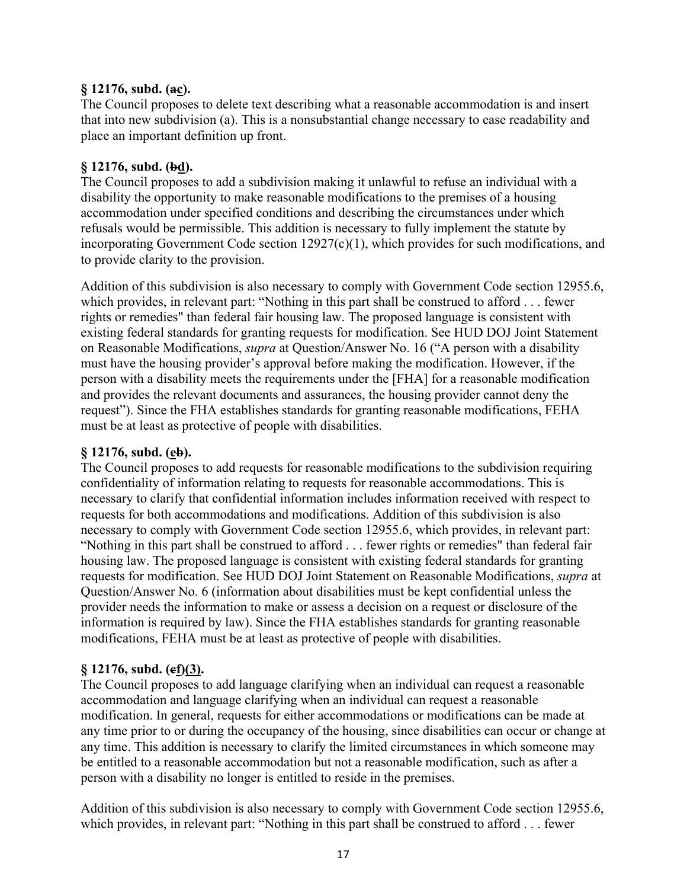## **§ 12176, subd. (ac).**

The Council proposes to delete text describing what a reasonable accommodation is and insert that into new subdivision (a). This is a nonsubstantial change necessary to ease readability and place an important definition up front.

## **§ 12176, subd. (bd).**

The Council proposes to add a subdivision making it unlawful to refuse an individual with a disability the opportunity to make reasonable modifications to the premises of a housing accommodation under specified conditions and describing the circumstances under which refusals would be permissible. This addition is necessary to fully implement the statute by incorporating Government Code section 12927(c)(1), which provides for such modifications, and to provide clarity to the provision.

Addition of this subdivision is also necessary to comply with Government Code section 12955.6, which provides, in relevant part: "Nothing in this part shall be construed to afford . . . fewer rights or remedies" than federal fair housing law. The proposed language is consistent with existing federal standards for granting requests for modification. See HUD DOJ Joint Statement on Reasonable Modifications, *supra* at Question/Answer No. 16 ("A person with a disability must have the housing provider's approval before making the modification. However, if the person with a disability meets the requirements under the [FHA] for a reasonable modification and provides the relevant documents and assurances, the housing provider cannot deny the request"). Since the FHA establishes standards for granting reasonable modifications, FEHA must be at least as protective of people with disabilities.

## **§ 12176, subd. (eb).**

The Council proposes to add requests for reasonable modifications to the subdivision requiring confidentiality of information relating to requests for reasonable accommodations. This is necessary to clarify that confidential information includes information received with respect to requests for both accommodations and modifications. Addition of this subdivision is also necessary to comply with Government Code section 12955.6, which provides, in relevant part: "Nothing in this part shall be construed to afford . . . fewer rights or remedies" than federal fair housing law. The proposed language is consistent with existing federal standards for granting requests for modification. See HUD DOJ Joint Statement on Reasonable Modifications, *supra* at Question/Answer No. 6 (information about disabilities must be kept confidential unless the provider needs the information to make or assess a decision on a request or disclosure of the information is required by law). Since the FHA establishes standards for granting reasonable modifications, FEHA must be at least as protective of people with disabilities.

## **§ 12176, subd. (cf)(3).**

The Council proposes to add language clarifying when an individual can request a reasonable accommodation and language clarifying when an individual can request a reasonable modification. In general, requests for either accommodations or modifications can be made at any time prior to or during the occupancy of the housing, since disabilities can occur or change at any time. This addition is necessary to clarify the limited circumstances in which someone may be entitled to a reasonable accommodation but not a reasonable modification, such as after a person with a disability no longer is entitled to reside in the premises.

Addition of this subdivision is also necessary to comply with Government Code section 12955.6, which provides, in relevant part: "Nothing in this part shall be construed to afford . . . fewer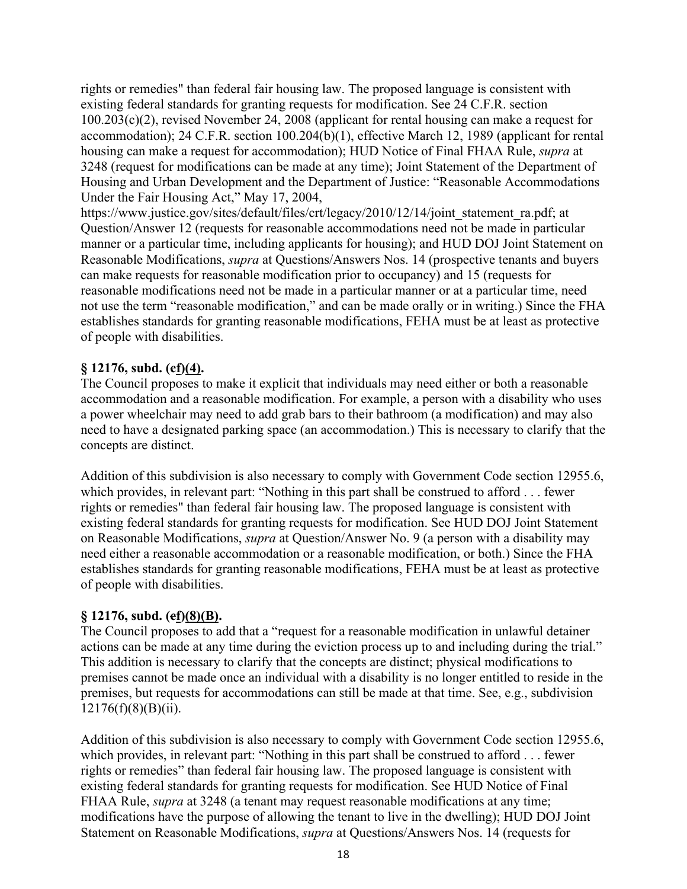rights or remedies" than federal fair housing law. The proposed language is consistent with existing federal standards for granting requests for modification. See 24 C.F.R. section 100.203(c)(2), revised November 24, 2008 (applicant for rental housing can make a request for accommodation); 24 C.F.R. section 100.204(b)(1), effective March 12, 1989 (applicant for rental housing can make a request for accommodation); HUD Notice of Final FHAA Rule, *supra* at 3248 (request for modifications can be made at any time); Joint Statement of the Department of Housing and Urban Development and the Department of Justice: "Reasonable Accommodations Under the Fair Housing Act," May 17, 2004,

https://www.justice.gov/sites/default/files/crt/legacy/2010/12/14/joint\_statement\_ra.pdf; at Question/Answer 12 (requests for reasonable accommodations need not be made in particular manner or a particular time, including applicants for housing); and HUD DOJ Joint Statement on Reasonable Modifications, *supra* at Questions/Answers Nos. 14 (prospective tenants and buyers can make requests for reasonable modification prior to occupancy) and 15 (requests for reasonable modifications need not be made in a particular manner or at a particular time, need not use the term "reasonable modification," and can be made orally or in writing.) Since the FHA establishes standards for granting reasonable modifications, FEHA must be at least as protective of people with disabilities.

## **§ 12176, subd. (cf)(4).**

The Council proposes to make it explicit that individuals may need either or both a reasonable accommodation and a reasonable modification. For example, a person with a disability who uses a power wheelchair may need to add grab bars to their bathroom (a modification) and may also need to have a designated parking space (an accommodation.) This is necessary to clarify that the concepts are distinct.

Addition of this subdivision is also necessary to comply with Government Code section 12955.6, which provides, in relevant part: "Nothing in this part shall be construed to afford . . . fewer rights or remedies" than federal fair housing law. The proposed language is consistent with existing federal standards for granting requests for modification. See HUD DOJ Joint Statement on Reasonable Modifications, *supra* at Question/Answer No. 9 (a person with a disability may need either a reasonable accommodation or a reasonable modification, or both.) Since the FHA establishes standards for granting reasonable modifications, FEHA must be at least as protective of people with disabilities.

## **§ 12176, subd. (cf)(8)(B).**

The Council proposes to add that a "request for a reasonable modification in unlawful detainer actions can be made at any time during the eviction process up to and including during the trial." This addition is necessary to clarify that the concepts are distinct; physical modifications to premises cannot be made once an individual with a disability is no longer entitled to reside in the premises, but requests for accommodations can still be made at that time. See, e.g., subdivision  $12176(f)(8)(B)(ii)$ .

Addition of this subdivision is also necessary to comply with Government Code section 12955.6, which provides, in relevant part: "Nothing in this part shall be construed to afford . . . fewer rights or remedies" than federal fair housing law. The proposed language is consistent with existing federal standards for granting requests for modification. See HUD Notice of Final FHAA Rule, *supra* at 3248 (a tenant may request reasonable modifications at any time; modifications have the purpose of allowing the tenant to live in the dwelling); HUD DOJ Joint Statement on Reasonable Modifications, *supra* at Questions/Answers Nos. 14 (requests for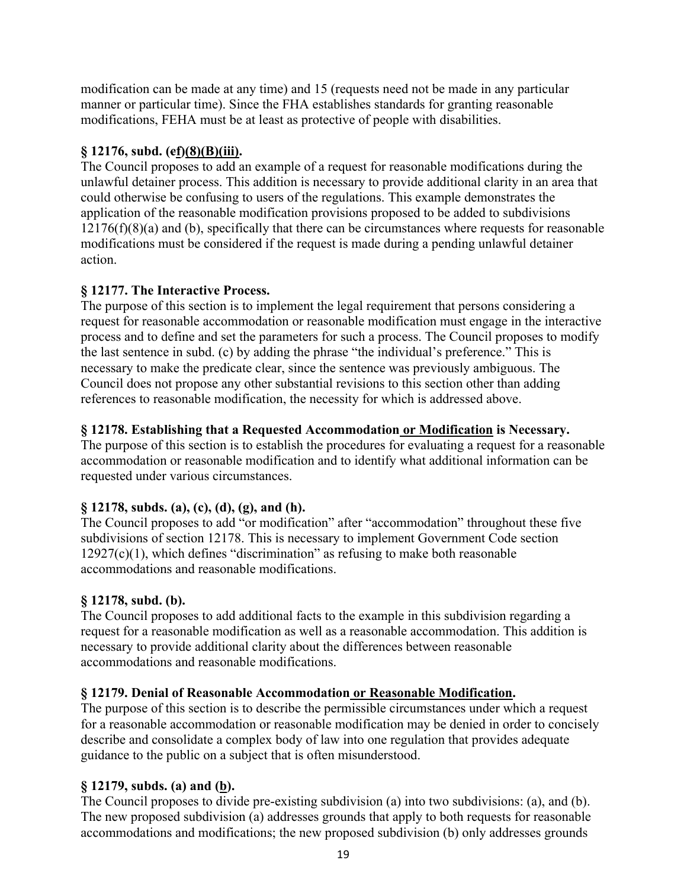modification can be made at any time) and 15 (requests need not be made in any particular manner or particular time). Since the FHA establishes standards for granting reasonable modifications, FEHA must be at least as protective of people with disabilities.

## **§ 12176, subd. (cf)(8)(B)(iii).**

The Council proposes to add an example of a request for reasonable modifications during the unlawful detainer process. This addition is necessary to provide additional clarity in an area that could otherwise be confusing to users of the regulations. This example demonstrates the application of the reasonable modification provisions proposed to be added to subdivisions  $12176(f)(8)(a)$  and (b), specifically that there can be circumstances where requests for reasonable modifications must be considered if the request is made during a pending unlawful detainer action.

## **§ 12177. The Interactive Process.**

The purpose of this section is to implement the legal requirement that persons considering a request for reasonable accommodation or reasonable modification must engage in the interactive process and to define and set the parameters for such a process. The Council proposes to modify the last sentence in subd. (c) by adding the phrase "the individual's preference." This is necessary to make the predicate clear, since the sentence was previously ambiguous. The Council does not propose any other substantial revisions to this section other than adding references to reasonable modification, the necessity for which is addressed above.

## **§ 12178. Establishing that a Requested Accommodation or Modification is Necessary.**

The purpose of this section is to establish the procedures for evaluating a request for a reasonable accommodation or reasonable modification and to identify what additional information can be requested under various circumstances.

## **§ 12178, subds. (a), (c), (d), (g), and (h).**

The Council proposes to add "or modification" after "accommodation" throughout these five subdivisions of section 12178. This is necessary to implement Government Code section  $12927(c)(1)$ , which defines "discrimination" as refusing to make both reasonable accommodations and reasonable modifications.

## **§ 12178, subd. (b).**

The Council proposes to add additional facts to the example in this subdivision regarding a request for a reasonable modification as well as a reasonable accommodation. This addition is necessary to provide additional clarity about the differences between reasonable accommodations and reasonable modifications.

## **§ 12179. Denial of Reasonable Accommodation or Reasonable Modification.**

The purpose of this section is to describe the permissible circumstances under which a request for a reasonable accommodation or reasonable modification may be denied in order to concisely describe and consolidate a complex body of law into one regulation that provides adequate guidance to the public on a subject that is often misunderstood.

## **§ 12179, subds. (a) and (b).**

The Council proposes to divide pre-existing subdivision (a) into two subdivisions: (a), and (b). The new proposed subdivision (a) addresses grounds that apply to both requests for reasonable accommodations and modifications; the new proposed subdivision (b) only addresses grounds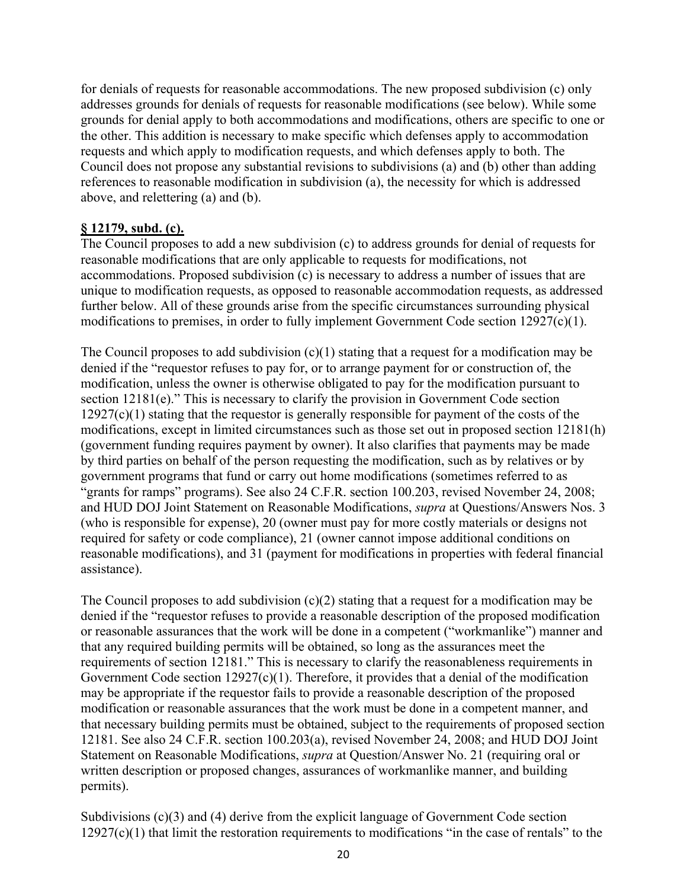for denials of requests for reasonable accommodations. The new proposed subdivision (c) only addresses grounds for denials of requests for reasonable modifications (see below). While some grounds for denial apply to both accommodations and modifications, others are specific to one or the other. This addition is necessary to make specific which defenses apply to accommodation requests and which apply to modification requests, and which defenses apply to both. The Council does not propose any substantial revisions to subdivisions (a) and (b) other than adding references to reasonable modification in subdivision (a), the necessity for which is addressed above, and relettering (a) and (b).

## **§ 12179, subd. (c).**

The Council proposes to add a new subdivision (c) to address grounds for denial of requests for reasonable modifications that are only applicable to requests for modifications, not accommodations. Proposed subdivision (c) is necessary to address a number of issues that are unique to modification requests, as opposed to reasonable accommodation requests, as addressed further below. All of these grounds arise from the specific circumstances surrounding physical modifications to premises, in order to fully implement Government Code section 12927(c)(1).

The Council proposes to add subdivision  $(c)(1)$  stating that a request for a modification may be denied if the "requestor refuses to pay for, or to arrange payment for or construction of, the modification, unless the owner is otherwise obligated to pay for the modification pursuant to section 12181(e)." This is necessary to clarify the provision in Government Code section  $12927(c)(1)$  stating that the requestor is generally responsible for payment of the costs of the modifications, except in limited circumstances such as those set out in proposed section 12181(h) (government funding requires payment by owner). It also clarifies that payments may be made by third parties on behalf of the person requesting the modification, such as by relatives or by government programs that fund or carry out home modifications (sometimes referred to as "grants for ramps" programs). See also 24 C.F.R. section 100.203, revised November 24, 2008; and HUD DOJ Joint Statement on Reasonable Modifications, *supra* at Questions/Answers Nos. 3 (who is responsible for expense), 20 (owner must pay for more costly materials or designs not required for safety or code compliance), 21 (owner cannot impose additional conditions on reasonable modifications), and 31 (payment for modifications in properties with federal financial assistance).

The Council proposes to add subdivision  $(c)(2)$  stating that a request for a modification may be denied if the "requestor refuses to provide a reasonable description of the proposed modification or reasonable assurances that the work will be done in a competent ("workmanlike") manner and that any required building permits will be obtained, so long as the assurances meet the requirements of section 12181." This is necessary to clarify the reasonableness requirements in Government Code section  $12927(c)(1)$ . Therefore, it provides that a denial of the modification may be appropriate if the requestor fails to provide a reasonable description of the proposed modification or reasonable assurances that the work must be done in a competent manner, and that necessary building permits must be obtained, subject to the requirements of proposed section 12181. See also 24 C.F.R. section 100.203(a), revised November 24, 2008; and HUD DOJ Joint Statement on Reasonable Modifications, *supra* at Question/Answer No. 21 (requiring oral or written description or proposed changes, assurances of workmanlike manner, and building permits).

Subdivisions  $(c)(3)$  and  $(4)$  derive from the explicit language of Government Code section  $12927(c)(1)$  that limit the restoration requirements to modifications "in the case of rentals" to the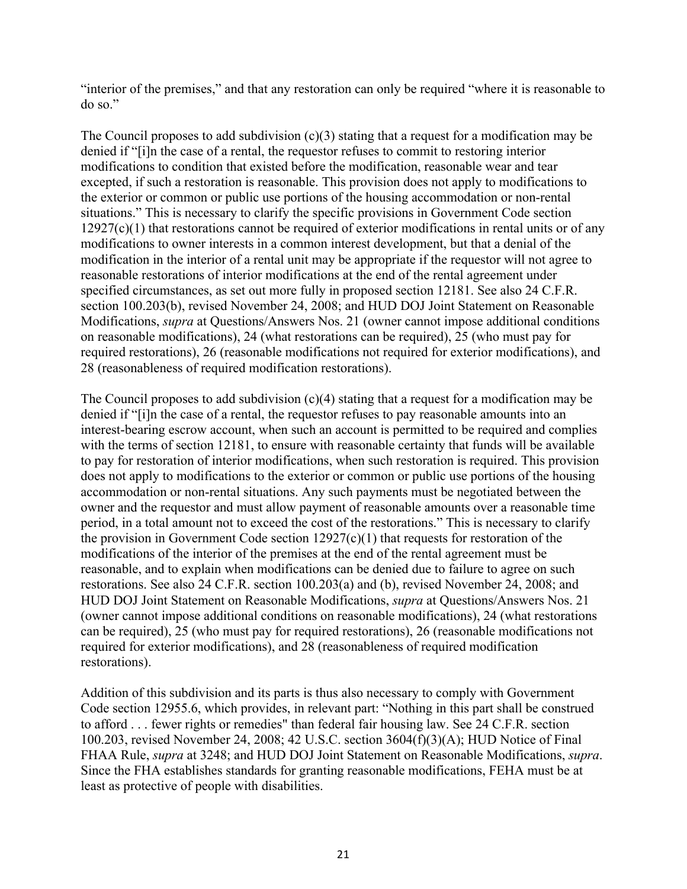"interior of the premises," and that any restoration can only be required "where it is reasonable to do so."

The Council proposes to add subdivision  $(c)(3)$  stating that a request for a modification may be denied if "[i]n the case of a rental, the requestor refuses to commit to restoring interior modifications to condition that existed before the modification, reasonable wear and tear excepted, if such a restoration is reasonable. This provision does not apply to modifications to the exterior or common or public use portions of the housing accommodation or non-rental situations." This is necessary to clarify the specific provisions in Government Code section  $12927(c)(1)$  that restorations cannot be required of exterior modifications in rental units or of any modifications to owner interests in a common interest development, but that a denial of the modification in the interior of a rental unit may be appropriate if the requestor will not agree to reasonable restorations of interior modifications at the end of the rental agreement under specified circumstances, as set out more fully in proposed section 12181. See also 24 C.F.R. section 100.203(b), revised November 24, 2008; and HUD DOJ Joint Statement on Reasonable Modifications, *supra* at Questions/Answers Nos. 21 (owner cannot impose additional conditions on reasonable modifications), 24 (what restorations can be required), 25 (who must pay for required restorations), 26 (reasonable modifications not required for exterior modifications), and 28 (reasonableness of required modification restorations).

The Council proposes to add subdivision  $(c)(4)$  stating that a request for a modification may be denied if "[i]n the case of a rental, the requestor refuses to pay reasonable amounts into an interest-bearing escrow account, when such an account is permitted to be required and complies with the terms of section 12181, to ensure with reasonable certainty that funds will be available to pay for restoration of interior modifications, when such restoration is required. This provision does not apply to modifications to the exterior or common or public use portions of the housing accommodation or non-rental situations. Any such payments must be negotiated between the owner and the requestor and must allow payment of reasonable amounts over a reasonable time period, in a total amount not to exceed the cost of the restorations." This is necessary to clarify the provision in Government Code section  $12927(c)(1)$  that requests for restoration of the modifications of the interior of the premises at the end of the rental agreement must be reasonable, and to explain when modifications can be denied due to failure to agree on such restorations. See also 24 C.F.R. section 100.203(a) and (b), revised November 24, 2008; and HUD DOJ Joint Statement on Reasonable Modifications, *supra* at Questions/Answers Nos. 21 (owner cannot impose additional conditions on reasonable modifications), 24 (what restorations can be required), 25 (who must pay for required restorations), 26 (reasonable modifications not required for exterior modifications), and 28 (reasonableness of required modification restorations).

Addition of this subdivision and its parts is thus also necessary to comply with Government Code section 12955.6, which provides, in relevant part: "Nothing in this part shall be construed to afford . . . fewer rights or remedies" than federal fair housing law. See 24 C.F.R. section 100.203, revised November 24, 2008; 42 U.S.C. section 3604(f)(3)(A); HUD Notice of Final FHAA Rule, *supra* at 3248; and HUD DOJ Joint Statement on Reasonable Modifications, *supra*. Since the FHA establishes standards for granting reasonable modifications, FEHA must be at least as protective of people with disabilities.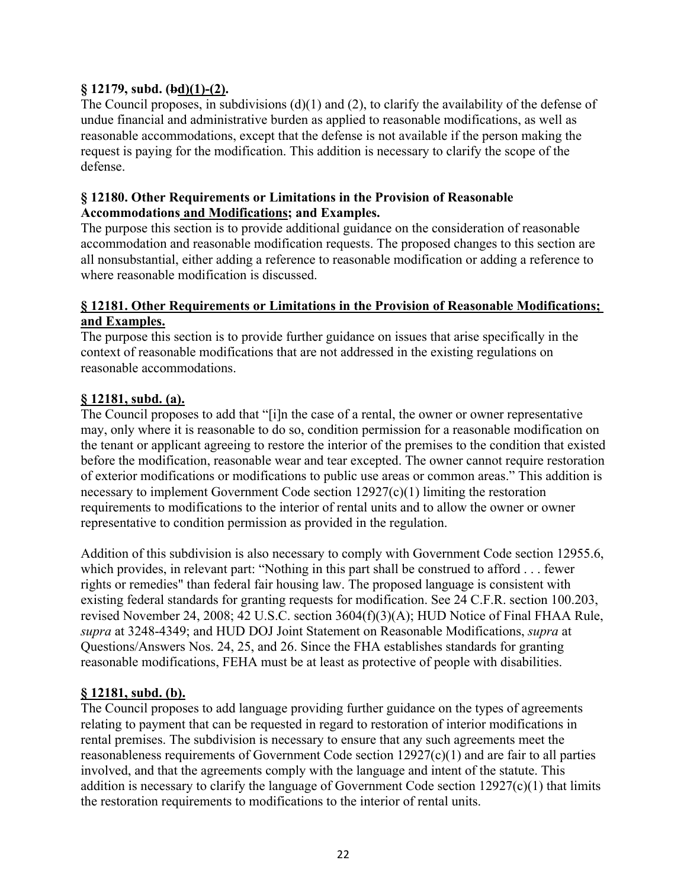## **§ 12179, subd. (bd)(1)-(2).**

The Council proposes, in subdivisions  $(d)(1)$  and  $(2)$ , to clarify the availability of the defense of undue financial and administrative burden as applied to reasonable modifications, as well as reasonable accommodations, except that the defense is not available if the person making the request is paying for the modification. This addition is necessary to clarify the scope of the defense.

#### **§ 12180. Other Requirements or Limitations in the Provision of Reasonable Accommodations and Modifications; and Examples.**

The purpose this section is to provide additional guidance on the consideration of reasonable accommodation and reasonable modification requests. The proposed changes to this section are all nonsubstantial, either adding a reference to reasonable modification or adding a reference to where reasonable modification is discussed.

#### **§ 12181. Other Requirements or Limitations in the Provision of Reasonable Modifications; and Examples.**

The purpose this section is to provide further guidance on issues that arise specifically in the context of reasonable modifications that are not addressed in the existing regulations on reasonable accommodations.

#### **§ 12181, subd. (a).**

The Council proposes to add that "[i]n the case of a rental, the owner or owner representative may, only where it is reasonable to do so, condition permission for a reasonable modification on the tenant or applicant agreeing to restore the interior of the premises to the condition that existed before the modification, reasonable wear and tear excepted. The owner cannot require restoration of exterior modifications or modifications to public use areas or common areas." This addition is necessary to implement Government Code section 12927(c)(1) limiting the restoration requirements to modifications to the interior of rental units and to allow the owner or owner representative to condition permission as provided in the regulation.

Addition of this subdivision is also necessary to comply with Government Code section 12955.6, which provides, in relevant part: "Nothing in this part shall be construed to afford . . . fewer rights or remedies" than federal fair housing law. The proposed language is consistent with existing federal standards for granting requests for modification. See 24 C.F.R. section 100.203, revised November 24, 2008; 42 U.S.C. section 3604(f)(3)(A); HUD Notice of Final FHAA Rule, *supra* at 3248-4349; and HUD DOJ Joint Statement on Reasonable Modifications, *supra* at Questions/Answers Nos. 24, 25, and 26. Since the FHA establishes standards for granting reasonable modifications, FEHA must be at least as protective of people with disabilities.

## **§ 12181, subd. (b).**

The Council proposes to add language providing further guidance on the types of agreements relating to payment that can be requested in regard to restoration of interior modifications in rental premises. The subdivision is necessary to ensure that any such agreements meet the reasonableness requirements of Government Code section 12927(c)(1) and are fair to all parties involved, and that the agreements comply with the language and intent of the statute. This addition is necessary to clarify the language of Government Code section 12927(c)(1) that limits the restoration requirements to modifications to the interior of rental units.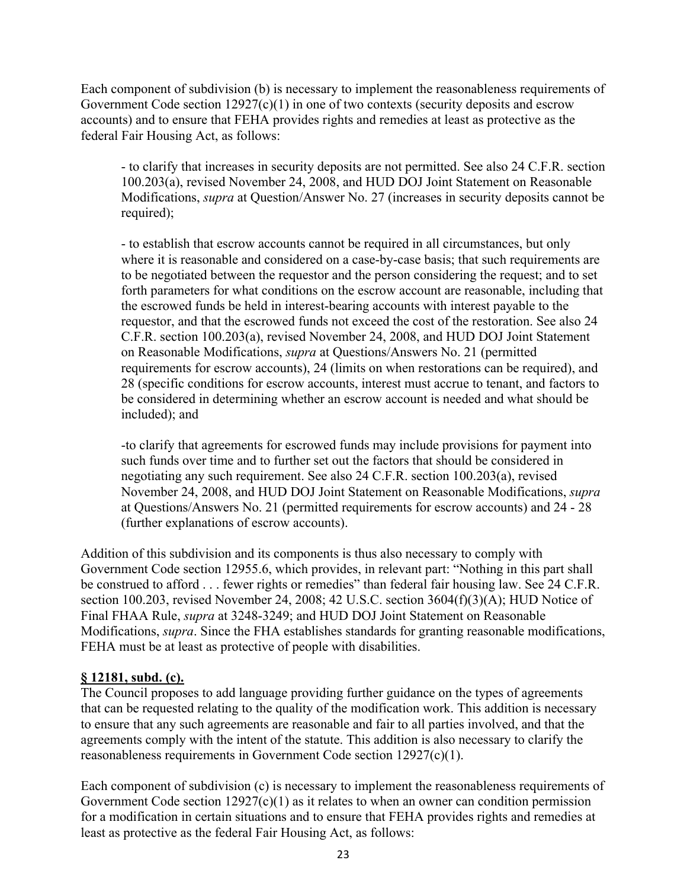Each component of subdivision (b) is necessary to implement the reasonableness requirements of Government Code section  $12927(c)(1)$  in one of two contexts (security deposits and escrow accounts) and to ensure that FEHA provides rights and remedies at least as protective as the federal Fair Housing Act, as follows:

- to clarify that increases in security deposits are not permitted. See also 24 C.F.R. section 100.203(a), revised November 24, 2008, and HUD DOJ Joint Statement on Reasonable Modifications, *supra* at Question/Answer No. 27 (increases in security deposits cannot be required);

- to establish that escrow accounts cannot be required in all circumstances, but only where it is reasonable and considered on a case-by-case basis; that such requirements are to be negotiated between the requestor and the person considering the request; and to set forth parameters for what conditions on the escrow account are reasonable, including that the escrowed funds be held in interest-bearing accounts with interest payable to the requestor, and that the escrowed funds not exceed the cost of the restoration. See also 24 C.F.R. section 100.203(a), revised November 24, 2008, and HUD DOJ Joint Statement on Reasonable Modifications, *supra* at Questions/Answers No. 21 (permitted requirements for escrow accounts), 24 (limits on when restorations can be required), and 28 (specific conditions for escrow accounts, interest must accrue to tenant, and factors to be considered in determining whether an escrow account is needed and what should be included); and

-to clarify that agreements for escrowed funds may include provisions for payment into such funds over time and to further set out the factors that should be considered in negotiating any such requirement. See also 24 C.F.R. section 100.203(a), revised November 24, 2008, and HUD DOJ Joint Statement on Reasonable Modifications, *supra* at Questions/Answers No. 21 (permitted requirements for escrow accounts) and 24 - 28 (further explanations of escrow accounts).

Addition of this subdivision and its components is thus also necessary to comply with Government Code section 12955.6, which provides, in relevant part: "Nothing in this part shall be construed to afford . . . fewer rights or remedies" than federal fair housing law. See 24 C.F.R. section 100.203, revised November 24, 2008; 42 U.S.C. section 3604(f)(3)(A); HUD Notice of Final FHAA Rule, *supra* at 3248-3249; and HUD DOJ Joint Statement on Reasonable Modifications, *supra*. Since the FHA establishes standards for granting reasonable modifications, FEHA must be at least as protective of people with disabilities.

## **§ 12181, subd. (c).**

The Council proposes to add language providing further guidance on the types of agreements that can be requested relating to the quality of the modification work. This addition is necessary to ensure that any such agreements are reasonable and fair to all parties involved, and that the agreements comply with the intent of the statute. This addition is also necessary to clarify the reasonableness requirements in Government Code section 12927(c)(1).

Each component of subdivision (c) is necessary to implement the reasonableness requirements of Government Code section  $12927(c)(1)$  as it relates to when an owner can condition permission for a modification in certain situations and to ensure that FEHA provides rights and remedies at least as protective as the federal Fair Housing Act, as follows: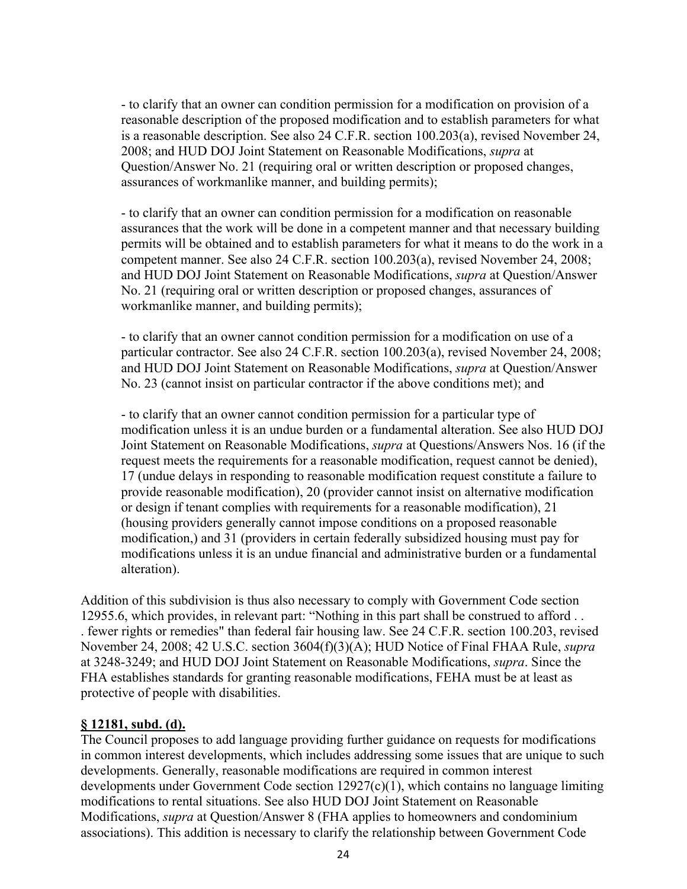- to clarify that an owner can condition permission for a modification on provision of a reasonable description of the proposed modification and to establish parameters for what is a reasonable description. See also 24 C.F.R. section 100.203(a), revised November 24, 2008; and HUD DOJ Joint Statement on Reasonable Modifications, *supra* at Question/Answer No. 21 (requiring oral or written description or proposed changes, assurances of workmanlike manner, and building permits);

- to clarify that an owner can condition permission for a modification on reasonable assurances that the work will be done in a competent manner and that necessary building permits will be obtained and to establish parameters for what it means to do the work in a competent manner. See also 24 C.F.R. section 100.203(a), revised November 24, 2008; and HUD DOJ Joint Statement on Reasonable Modifications, *supra* at Question/Answer No. 21 (requiring oral or written description or proposed changes, assurances of workmanlike manner, and building permits);

- to clarify that an owner cannot condition permission for a modification on use of a particular contractor. See also 24 C.F.R. section 100.203(a), revised November 24, 2008; and HUD DOJ Joint Statement on Reasonable Modifications, *supra* at Question/Answer No. 23 (cannot insist on particular contractor if the above conditions met); and

- to clarify that an owner cannot condition permission for a particular type of modification unless it is an undue burden or a fundamental alteration. See also HUD DOJ Joint Statement on Reasonable Modifications, *supra* at Questions/Answers Nos. 16 (if the request meets the requirements for a reasonable modification, request cannot be denied), 17 (undue delays in responding to reasonable modification request constitute a failure to provide reasonable modification), 20 (provider cannot insist on alternative modification or design if tenant complies with requirements for a reasonable modification), 21 (housing providers generally cannot impose conditions on a proposed reasonable modification,) and 31 (providers in certain federally subsidized housing must pay for modifications unless it is an undue financial and administrative burden or a fundamental alteration).

Addition of this subdivision is thus also necessary to comply with Government Code section 12955.6, which provides, in relevant part: "Nothing in this part shall be construed to afford . . . fewer rights or remedies" than federal fair housing law. See 24 C.F.R. section 100.203, revised November 24, 2008; 42 U.S.C. section 3604(f)(3)(A); HUD Notice of Final FHAA Rule, *supra* at 3248-3249; and HUD DOJ Joint Statement on Reasonable Modifications, *supra*. Since the FHA establishes standards for granting reasonable modifications, FEHA must be at least as protective of people with disabilities.

#### **§ 12181, subd. (d).**

The Council proposes to add language providing further guidance on requests for modifications in common interest developments, which includes addressing some issues that are unique to such developments. Generally, reasonable modifications are required in common interest developments under Government Code section 12927(c)(1), which contains no language limiting modifications to rental situations. See also HUD DOJ Joint Statement on Reasonable Modifications, *supra* at Question/Answer 8 (FHA applies to homeowners and condominium associations). This addition is necessary to clarify the relationship between Government Code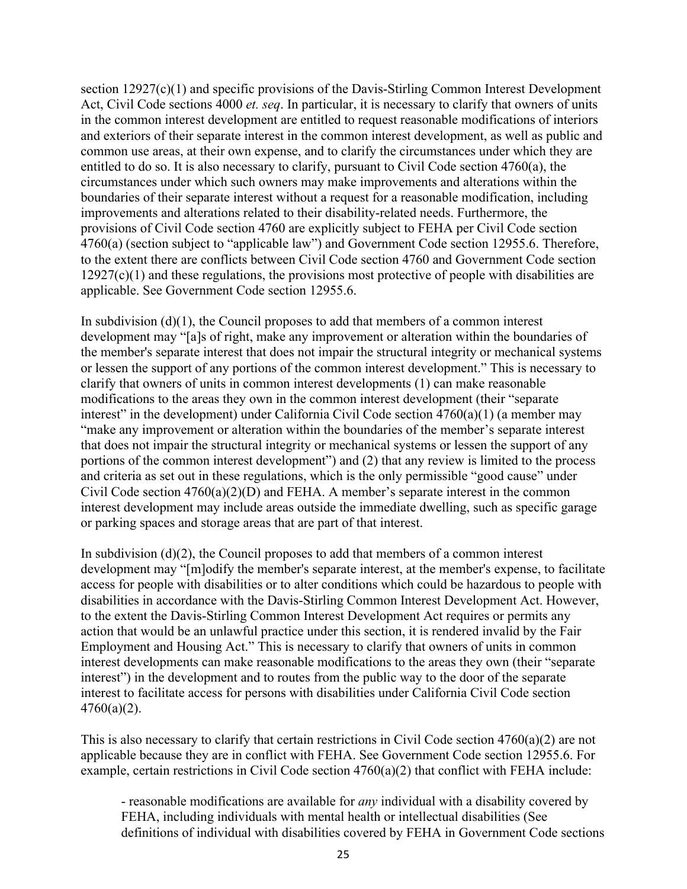section  $12927(c)(1)$  and specific provisions of the Davis-Stirling Common Interest Development Act, Civil Code sections 4000 *et. seq*. In particular, it is necessary to clarify that owners of units in the common interest development are entitled to request reasonable modifications of interiors and exteriors of their separate interest in the common interest development, as well as public and common use areas, at their own expense, and to clarify the circumstances under which they are entitled to do so. It is also necessary to clarify, pursuant to Civil Code section 4760(a), the circumstances under which such owners may make improvements and alterations within the boundaries of their separate interest without a request for a reasonable modification, including improvements and alterations related to their disability-related needs. Furthermore, the provisions of Civil Code section 4760 are explicitly subject to FEHA per Civil Code section 4760(a) (section subject to "applicable law") and Government Code section 12955.6. Therefore, to the extent there are conflicts between Civil Code section 4760 and Government Code section  $12927(c)(1)$  and these regulations, the provisions most protective of people with disabilities are applicable. See Government Code section 12955.6.

In subdivision (d)(1), the Council proposes to add that members of a common interest development may "[a]s of right, make any improvement or alteration within the boundaries of the member's separate interest that does not impair the structural integrity or mechanical systems or lessen the support of any portions of the common interest development." This is necessary to clarify that owners of units in common interest developments (1) can make reasonable modifications to the areas they own in the common interest development (their "separate interest" in the development) under California Civil Code section 4760(a)(1) (a member may "make any improvement or alteration within the boundaries of the member's separate interest that does not impair the structural integrity or mechanical systems or lessen the support of any portions of the common interest development") and (2) that any review is limited to the process and criteria as set out in these regulations, which is the only permissible "good cause" under Civil Code section  $4760(a)(2)(D)$  and FEHA. A member's separate interest in the common interest development may include areas outside the immediate dwelling, such as specific garage or parking spaces and storage areas that are part of that interest.

In subdivision (d)(2), the Council proposes to add that members of a common interest development may "[m]odify the member's separate interest, at the member's expense, to facilitate access for people with disabilities or to alter conditions which could be hazardous to people with disabilities in accordance with the Davis-Stirling Common Interest Development Act. However, to the extent the Davis-Stirling Common Interest Development Act requires or permits any action that would be an unlawful practice under this section, it is rendered invalid by the Fair Employment and Housing Act." This is necessary to clarify that owners of units in common interest developments can make reasonable modifications to the areas they own (their "separate interest") in the development and to routes from the public way to the door of the separate interest to facilitate access for persons with disabilities under California Civil Code section  $4760(a)(2)$ .

This is also necessary to clarify that certain restrictions in Civil Code section  $4760(a)(2)$  are not applicable because they are in conflict with FEHA. See Government Code section 12955.6. For example, certain restrictions in Civil Code section 4760(a)(2) that conflict with FEHA include:

- reasonable modifications are available for *any* individual with a disability covered by FEHA, including individuals with mental health or intellectual disabilities (See definitions of individual with disabilities covered by FEHA in Government Code sections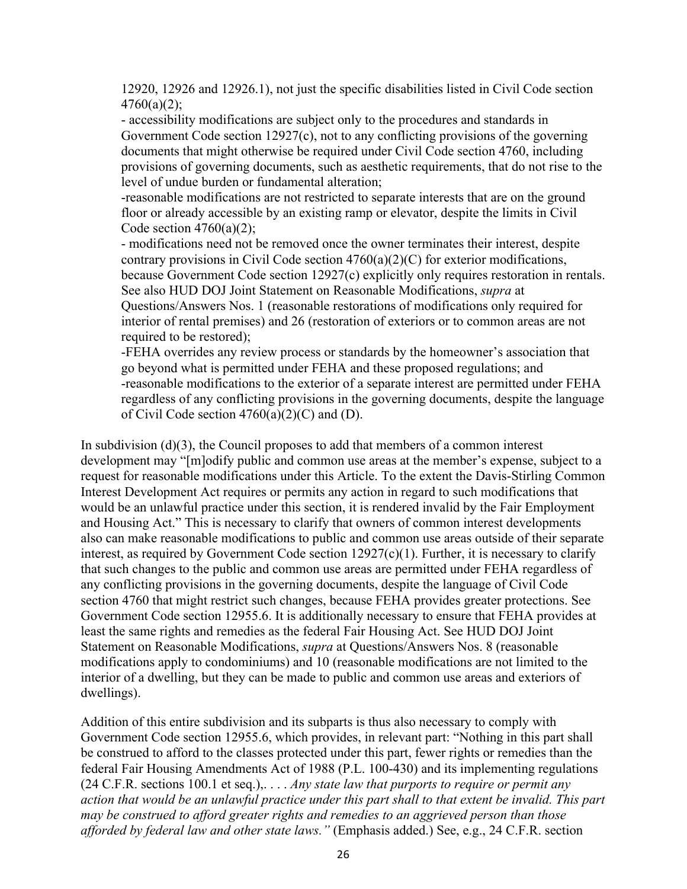12920, 12926 and 12926.1), not just the specific disabilities listed in Civil Code section  $4760(a)(2);$ 

- accessibility modifications are subject only to the procedures and standards in Government Code section 12927(c), not to any conflicting provisions of the governing documents that might otherwise be required under Civil Code section 4760, including provisions of governing documents, such as aesthetic requirements, that do not rise to the level of undue burden or fundamental alteration;

-reasonable modifications are not restricted to separate interests that are on the ground floor or already accessible by an existing ramp or elevator, despite the limits in Civil Code section  $4760(a)(2)$ ;

- modifications need not be removed once the owner terminates their interest, despite contrary provisions in Civil Code section 4760(a)(2)(C) for exterior modifications, because Government Code section 12927(c) explicitly only requires restoration in rentals. See also HUD DOJ Joint Statement on Reasonable Modifications, *supra* at Questions/Answers Nos. 1 (reasonable restorations of modifications only required for interior of rental premises) and 26 (restoration of exteriors or to common areas are not required to be restored);

-FEHA overrides any review process or standards by the homeowner's association that go beyond what is permitted under FEHA and these proposed regulations; and -reasonable modifications to the exterior of a separate interest are permitted under FEHA regardless of any conflicting provisions in the governing documents, despite the language of Civil Code section  $4760(a)(2)(C)$  and (D).

In subdivision (d)(3), the Council proposes to add that members of a common interest development may "[m]odify public and common use areas at the member's expense, subject to a request for reasonable modifications under this Article. To the extent the Davis-Stirling Common Interest Development Act requires or permits any action in regard to such modifications that would be an unlawful practice under this section, it is rendered invalid by the Fair Employment and Housing Act." This is necessary to clarify that owners of common interest developments also can make reasonable modifications to public and common use areas outside of their separate interest, as required by Government Code section 12927(c)(1). Further, it is necessary to clarify that such changes to the public and common use areas are permitted under FEHA regardless of any conflicting provisions in the governing documents, despite the language of Civil Code section 4760 that might restrict such changes, because FEHA provides greater protections. See Government Code section 12955.6. It is additionally necessary to ensure that FEHA provides at least the same rights and remedies as the federal Fair Housing Act. See HUD DOJ Joint Statement on Reasonable Modifications, *supra* at Questions/Answers Nos. 8 (reasonable modifications apply to condominiums) and 10 (reasonable modifications are not limited to the interior of a dwelling, but they can be made to public and common use areas and exteriors of dwellings).

Addition of this entire subdivision and its subparts is thus also necessary to comply with Government Code section 12955.6, which provides, in relevant part: "Nothing in this part shall be construed to afford to the classes protected under this part, fewer rights or remedies than the federal Fair Housing Amendments Act of 1988 (P.L. 100-430) and its implementing regulations (24 C.F.R. sections 100.1 et seq.),. . . . *Any state law that purports to require or permit any action that would be an unlawful practice under this part shall to that extent be invalid. This part may be construed to afford greater rights and remedies to an aggrieved person than those afforded by federal law and other state laws."* (Emphasis added.) See, e.g., 24 C.F.R. section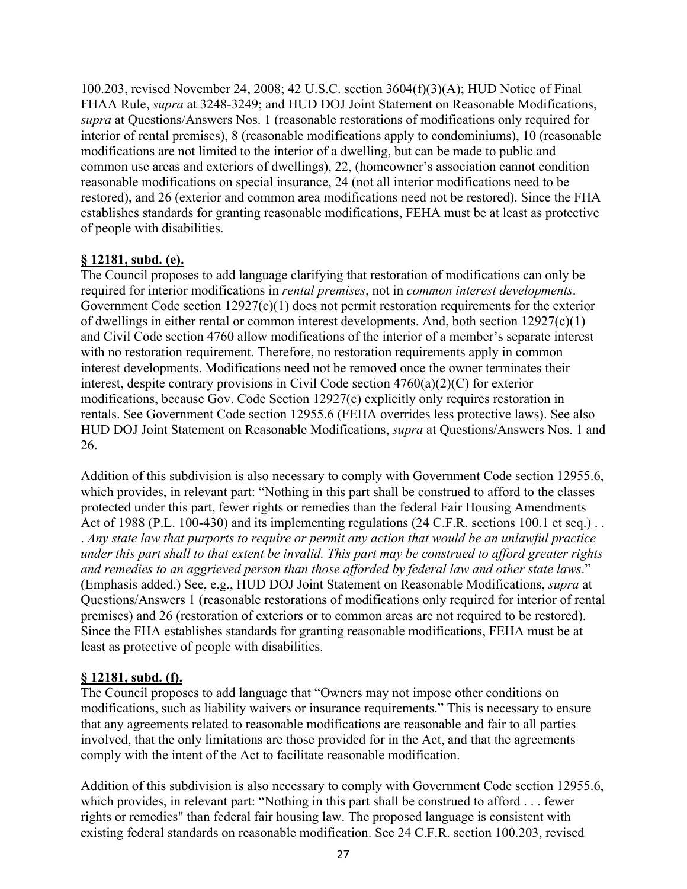100.203, revised November 24, 2008; 42 U.S.C. section 3604(f)(3)(A); HUD Notice of Final FHAA Rule, *supra* at 3248-3249; and HUD DOJ Joint Statement on Reasonable Modifications, *supra* at Questions/Answers Nos. 1 (reasonable restorations of modifications only required for interior of rental premises), 8 (reasonable modifications apply to condominiums), 10 (reasonable modifications are not limited to the interior of a dwelling, but can be made to public and common use areas and exteriors of dwellings), 22, (homeowner's association cannot condition reasonable modifications on special insurance, 24 (not all interior modifications need to be restored), and 26 (exterior and common area modifications need not be restored). Since the FHA establishes standards for granting reasonable modifications, FEHA must be at least as protective of people with disabilities.

## **§ 12181, subd. (e).**

The Council proposes to add language clarifying that restoration of modifications can only be required for interior modifications in *rental premises*, not in *common interest developments*. Government Code section 12927(c)(1) does not permit restoration requirements for the exterior of dwellings in either rental or common interest developments. And, both section 12927(c)(1) and Civil Code section 4760 allow modifications of the interior of a member's separate interest with no restoration requirement. Therefore, no restoration requirements apply in common interest developments. Modifications need not be removed once the owner terminates their interest, despite contrary provisions in Civil Code section 4760(a)(2)(C) for exterior modifications, because Gov. Code Section 12927(c) explicitly only requires restoration in rentals. See Government Code section 12955.6 (FEHA overrides less protective laws). See also HUD DOJ Joint Statement on Reasonable Modifications, *supra* at Questions/Answers Nos. 1 and 26.

Addition of this subdivision is also necessary to comply with Government Code section 12955.6, which provides, in relevant part: "Nothing in this part shall be construed to afford to the classes protected under this part, fewer rights or remedies than the federal Fair Housing Amendments Act of 1988 (P.L. 100-430) and its implementing regulations (24 C.F.R. sections 100.1 et seq.). . *Any state law that purports to require or permit any action that would be an unlawful practice under this part shall to that extent be invalid. This part may be construed to afford greater rights and remedies to an aggrieved person than those afforded by federal law and other state laws*." (Emphasis added.) See, e.g., HUD DOJ Joint Statement on Reasonable Modifications, *supra* at Questions/Answers 1 (reasonable restorations of modifications only required for interior of rental premises) and 26 (restoration of exteriors or to common areas are not required to be restored). Since the FHA establishes standards for granting reasonable modifications, FEHA must be at least as protective of people with disabilities.

## **§ 12181, subd. (f).**

The Council proposes to add language that "Owners may not impose other conditions on modifications, such as liability waivers or insurance requirements." This is necessary to ensure that any agreements related to reasonable modifications are reasonable and fair to all parties involved, that the only limitations are those provided for in the Act, and that the agreements comply with the intent of the Act to facilitate reasonable modification.

Addition of this subdivision is also necessary to comply with Government Code section 12955.6, which provides, in relevant part: "Nothing in this part shall be construed to afford . . . fewer rights or remedies" than federal fair housing law. The proposed language is consistent with existing federal standards on reasonable modification. See 24 C.F.R. section 100.203, revised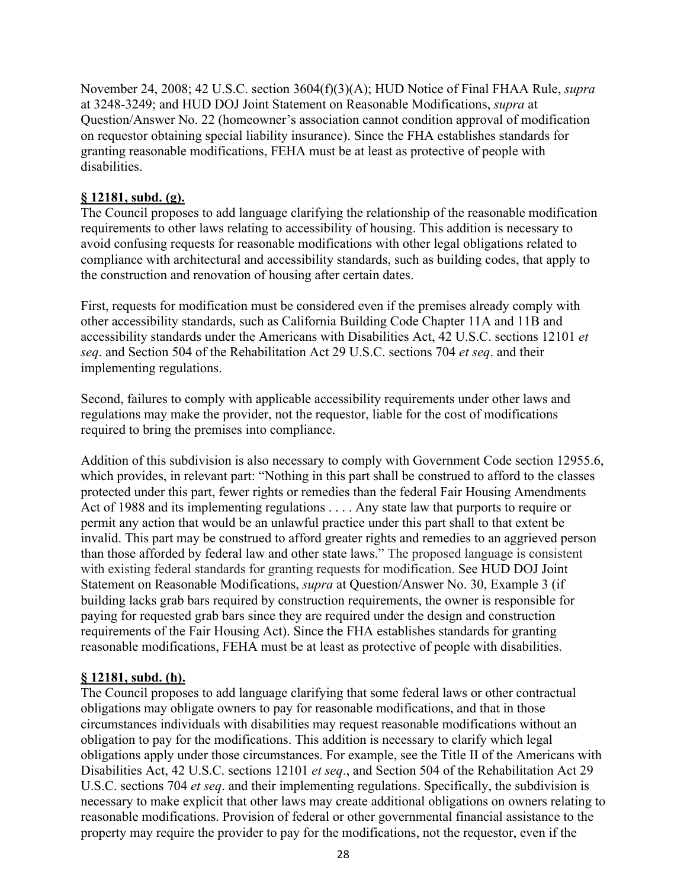November 24, 2008; 42 U.S.C. section 3604(f)(3)(A); HUD Notice of Final FHAA Rule, *supra* at 3248-3249; and HUD DOJ Joint Statement on Reasonable Modifications, *supra* at Question/Answer No. 22 (homeowner's association cannot condition approval of modification on requestor obtaining special liability insurance). Since the FHA establishes standards for granting reasonable modifications, FEHA must be at least as protective of people with disabilities.

## **§ 12181, subd. (g).**

The Council proposes to add language clarifying the relationship of the reasonable modification requirements to other laws relating to accessibility of housing. This addition is necessary to avoid confusing requests for reasonable modifications with other legal obligations related to compliance with architectural and accessibility standards, such as building codes, that apply to the construction and renovation of housing after certain dates.

First, requests for modification must be considered even if the premises already comply with other accessibility standards, such as California Building Code Chapter 11A and 11B and accessibility standards under the Americans with Disabilities Act, 42 U.S.C. sections 12101 *et seq*. and Section 504 of the Rehabilitation Act 29 U.S.C. sections 704 *et seq*. and their implementing regulations.

Second, failures to comply with applicable accessibility requirements under other laws and regulations may make the provider, not the requestor, liable for the cost of modifications required to bring the premises into compliance.

Addition of this subdivision is also necessary to comply with Government Code section 12955.6, which provides, in relevant part: "Nothing in this part shall be construed to afford to the classes protected under this part, fewer rights or remedies than the federal Fair Housing Amendments Act of 1988 and its implementing regulations . . . . Any state law that purports to require or permit any action that would be an unlawful practice under this part shall to that extent be invalid. This part may be construed to afford greater rights and remedies to an aggrieved person than those afforded by federal law and other state laws." The proposed language is consistent with existing federal standards for granting requests for modification. See HUD DOJ Joint Statement on Reasonable Modifications, *supra* at Question/Answer No. 30, Example 3 (if building lacks grab bars required by construction requirements, the owner is responsible for paying for requested grab bars since they are required under the design and construction requirements of the Fair Housing Act). Since the FHA establishes standards for granting reasonable modifications, FEHA must be at least as protective of people with disabilities.

## **§ 12181, subd. (h).**

The Council proposes to add language clarifying that some federal laws or other contractual obligations may obligate owners to pay for reasonable modifications, and that in those circumstances individuals with disabilities may request reasonable modifications without an obligation to pay for the modifications. This addition is necessary to clarify which legal obligations apply under those circumstances. For example, see the Title II of the Americans with Disabilities Act, 42 U.S.C. sections 12101 *et seq*., and Section 504 of the Rehabilitation Act 29 U.S.C. sections 704 *et seq*. and their implementing regulations. Specifically, the subdivision is necessary to make explicit that other laws may create additional obligations on owners relating to reasonable modifications. Provision of federal or other governmental financial assistance to the property may require the provider to pay for the modifications, not the requestor, even if the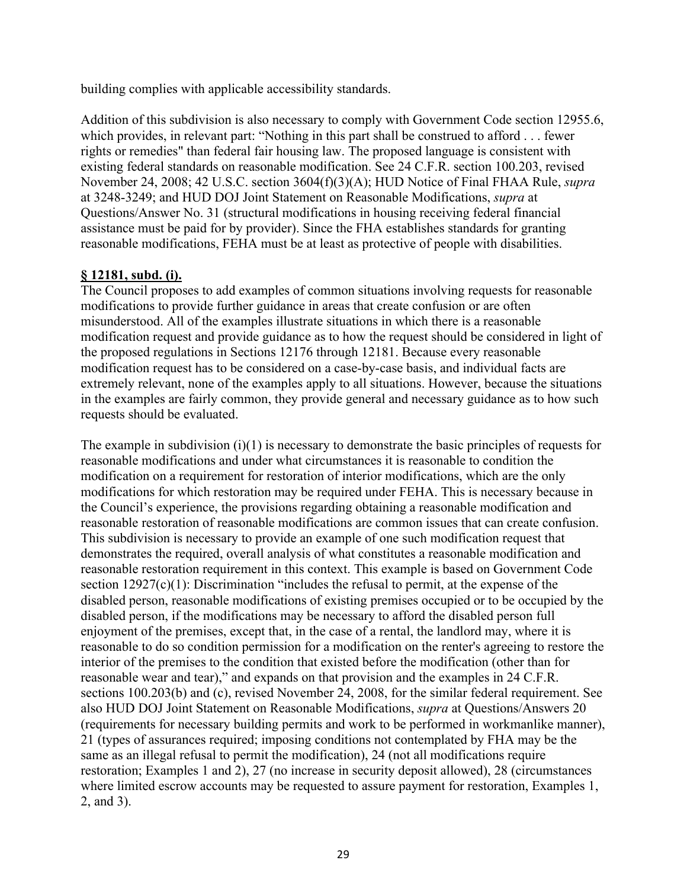building complies with applicable accessibility standards.

Addition of this subdivision is also necessary to comply with Government Code section 12955.6, which provides, in relevant part: "Nothing in this part shall be construed to afford . . . fewer rights or remedies" than federal fair housing law. The proposed language is consistent with existing federal standards on reasonable modification. See 24 C.F.R. section 100.203, revised November 24, 2008; 42 U.S.C. section 3604(f)(3)(A); HUD Notice of Final FHAA Rule, *supra* at 3248-3249; and HUD DOJ Joint Statement on Reasonable Modifications, *supra* at Questions/Answer No. 31 (structural modifications in housing receiving federal financial assistance must be paid for by provider). Since the FHA establishes standards for granting reasonable modifications, FEHA must be at least as protective of people with disabilities.

## **§ 12181, subd. (i).**

The Council proposes to add examples of common situations involving requests for reasonable modifications to provide further guidance in areas that create confusion or are often misunderstood. All of the examples illustrate situations in which there is a reasonable modification request and provide guidance as to how the request should be considered in light of the proposed regulations in Sections 12176 through 12181. Because every reasonable modification request has to be considered on a case-by-case basis, and individual facts are extremely relevant, none of the examples apply to all situations. However, because the situations in the examples are fairly common, they provide general and necessary guidance as to how such requests should be evaluated.

The example in subdivision (i)(1) is necessary to demonstrate the basic principles of requests for reasonable modifications and under what circumstances it is reasonable to condition the modification on a requirement for restoration of interior modifications, which are the only modifications for which restoration may be required under FEHA. This is necessary because in the Council's experience, the provisions regarding obtaining a reasonable modification and reasonable restoration of reasonable modifications are common issues that can create confusion. This subdivision is necessary to provide an example of one such modification request that demonstrates the required, overall analysis of what constitutes a reasonable modification and reasonable restoration requirement in this context. This example is based on Government Code section  $12927(c)(1)$ : Discrimination "includes the refusal to permit, at the expense of the disabled person, reasonable modifications of existing premises occupied or to be occupied by the disabled person, if the modifications may be necessary to afford the disabled person full enjoyment of the premises, except that, in the case of a rental, the landlord may, where it is reasonable to do so condition permission for a modification on the renter's agreeing to restore the interior of the premises to the condition that existed before the modification (other than for reasonable wear and tear)," and expands on that provision and the examples in 24 C.F.R. sections 100.203(b) and (c), revised November 24, 2008, for the similar federal requirement. See also HUD DOJ Joint Statement on Reasonable Modifications, *supra* at Questions/Answers 20 (requirements for necessary building permits and work to be performed in workmanlike manner), 21 (types of assurances required; imposing conditions not contemplated by FHA may be the same as an illegal refusal to permit the modification), 24 (not all modifications require restoration; Examples 1 and 2), 27 (no increase in security deposit allowed), 28 (circumstances where limited escrow accounts may be requested to assure payment for restoration, Examples 1, 2, and 3).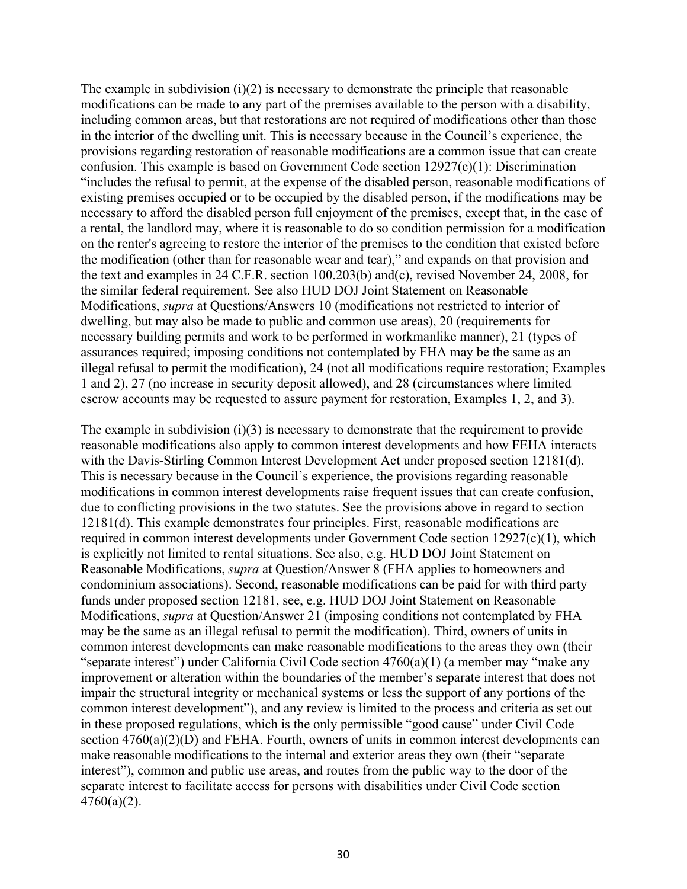The example in subdivision  $(i)(2)$  is necessary to demonstrate the principle that reasonable modifications can be made to any part of the premises available to the person with a disability, including common areas, but that restorations are not required of modifications other than those in the interior of the dwelling unit. This is necessary because in the Council's experience, the provisions regarding restoration of reasonable modifications are a common issue that can create confusion. This example is based on Government Code section 12927(c)(1): Discrimination "includes the refusal to permit, at the expense of the disabled person, reasonable modifications of existing premises occupied or to be occupied by the disabled person, if the modifications may be necessary to afford the disabled person full enjoyment of the premises, except that, in the case of a rental, the landlord may, where it is reasonable to do so condition permission for a modification on the renter's agreeing to restore the interior of the premises to the condition that existed before the modification (other than for reasonable wear and tear)," and expands on that provision and the text and examples in 24 C.F.R. section 100.203(b) and(c), revised November 24, 2008, for the similar federal requirement. See also HUD DOJ Joint Statement on Reasonable Modifications, *supra* at Questions/Answers 10 (modifications not restricted to interior of dwelling, but may also be made to public and common use areas), 20 (requirements for necessary building permits and work to be performed in workmanlike manner), 21 (types of assurances required; imposing conditions not contemplated by FHA may be the same as an illegal refusal to permit the modification), 24 (not all modifications require restoration; Examples 1 and 2), 27 (no increase in security deposit allowed), and 28 (circumstances where limited escrow accounts may be requested to assure payment for restoration, Examples 1, 2, and 3).

The example in subdivision  $(i)(3)$  is necessary to demonstrate that the requirement to provide reasonable modifications also apply to common interest developments and how FEHA interacts with the Davis-Stirling Common Interest Development Act under proposed section 12181(d). This is necessary because in the Council's experience, the provisions regarding reasonable modifications in common interest developments raise frequent issues that can create confusion, due to conflicting provisions in the two statutes. See the provisions above in regard to section 12181(d). This example demonstrates four principles. First, reasonable modifications are required in common interest developments under Government Code section 12927(c)(1), which is explicitly not limited to rental situations. See also, e.g. HUD DOJ Joint Statement on Reasonable Modifications, *supra* at Question/Answer 8 (FHA applies to homeowners and condominium associations). Second, reasonable modifications can be paid for with third party funds under proposed section 12181, see, e.g. HUD DOJ Joint Statement on Reasonable Modifications, *supra* at Question/Answer 21 (imposing conditions not contemplated by FHA may be the same as an illegal refusal to permit the modification). Third, owners of units in common interest developments can make reasonable modifications to the areas they own (their "separate interest") under California Civil Code section 4760(a)(1) (a member may "make any improvement or alteration within the boundaries of the member's separate interest that does not impair the structural integrity or mechanical systems or less the support of any portions of the common interest development"), and any review is limited to the process and criteria as set out in these proposed regulations, which is the only permissible "good cause" under Civil Code section  $4760(a)(2)(D)$  and FEHA. Fourth, owners of units in common interest developments can make reasonable modifications to the internal and exterior areas they own (their "separate interest"), common and public use areas, and routes from the public way to the door of the separate interest to facilitate access for persons with disabilities under Civil Code section 4760(a)(2).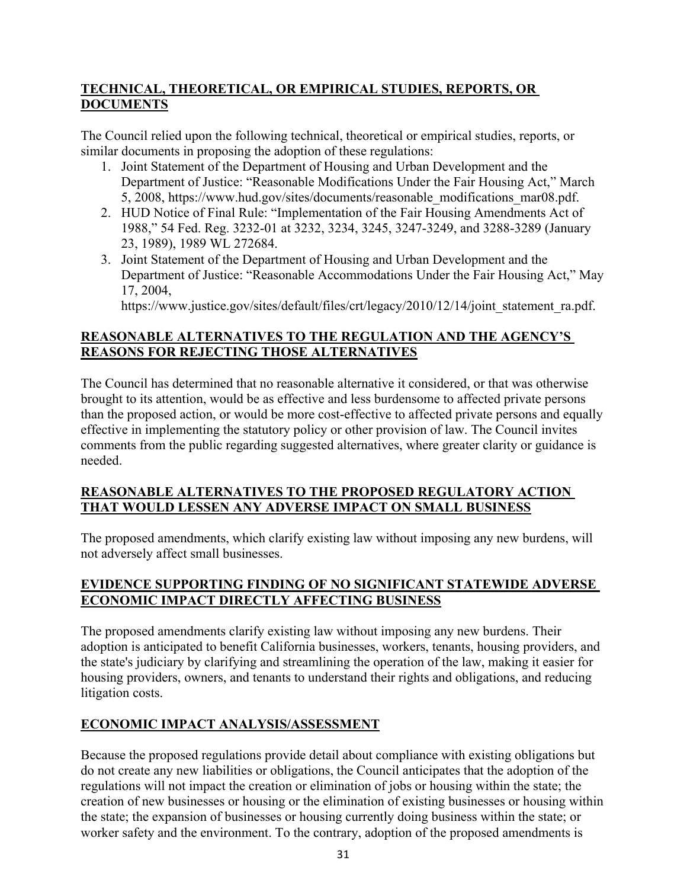## **TECHNICAL, THEORETICAL, OR EMPIRICAL STUDIES, REPORTS, OR DOCUMENTS**

The Council relied upon the following technical, theoretical or empirical studies, reports, or similar documents in proposing the adoption of these regulations:

- 1. Joint Statement of the Department of Housing and Urban Development and the Department of Justice: "Reasonable Modifications Under the Fair Housing Act," March 5, 2008, https://www.hud.gov/sites/documents/reasonable\_modifications\_mar08.pdf.
- 2. HUD Notice of Final Rule: "Implementation of the Fair Housing Amendments Act of 1988," 54 Fed. Reg. 3232-01 at 3232, 3234, 3245, 3247-3249, and 3288-3289 (January 23, 1989), 1989 WL 272684.
- 3. Joint Statement of the Department of Housing and Urban Development and the Department of Justice: "Reasonable Accommodations Under the Fair Housing Act," May 17, 2004,

https://www.justice.gov/sites/default/files/crt/legacy/2010/12/14/joint\_statement\_ra.pdf.

## **REASONABLE ALTERNATIVES TO THE REGULATION AND THE AGENCY'S REASONS FOR REJECTING THOSE ALTERNATIVES**

The Council has determined that no reasonable alternative it considered, or that was otherwise brought to its attention, would be as effective and less burdensome to affected private persons than the proposed action, or would be more cost-effective to affected private persons and equally effective in implementing the statutory policy or other provision of law. The Council invites comments from the public regarding suggested alternatives, where greater clarity or guidance is needed.

## **REASONABLE ALTERNATIVES TO THE PROPOSED REGULATORY ACTION THAT WOULD LESSEN ANY ADVERSE IMPACT ON SMALL BUSINESS**

The proposed amendments, which clarify existing law without imposing any new burdens, will not adversely affect small businesses.

## **EVIDENCE SUPPORTING FINDING OF NO SIGNIFICANT STATEWIDE ADVERSE ECONOMIC IMPACT DIRECTLY AFFECTING BUSINESS**

The proposed amendments clarify existing law without imposing any new burdens. Their adoption is anticipated to benefit California businesses, workers, tenants, housing providers, and the state's judiciary by clarifying and streamlining the operation of the law, making it easier for housing providers, owners, and tenants to understand their rights and obligations, and reducing litigation costs.

## **ECONOMIC IMPACT ANALYSIS/ASSESSMENT**

Because the proposed regulations provide detail about compliance with existing obligations but do not create any new liabilities or obligations, the Council anticipates that the adoption of the regulations will not impact the creation or elimination of jobs or housing within the state; the creation of new businesses or housing or the elimination of existing businesses or housing within the state; the expansion of businesses or housing currently doing business within the state; or worker safety and the environment. To the contrary, adoption of the proposed amendments is